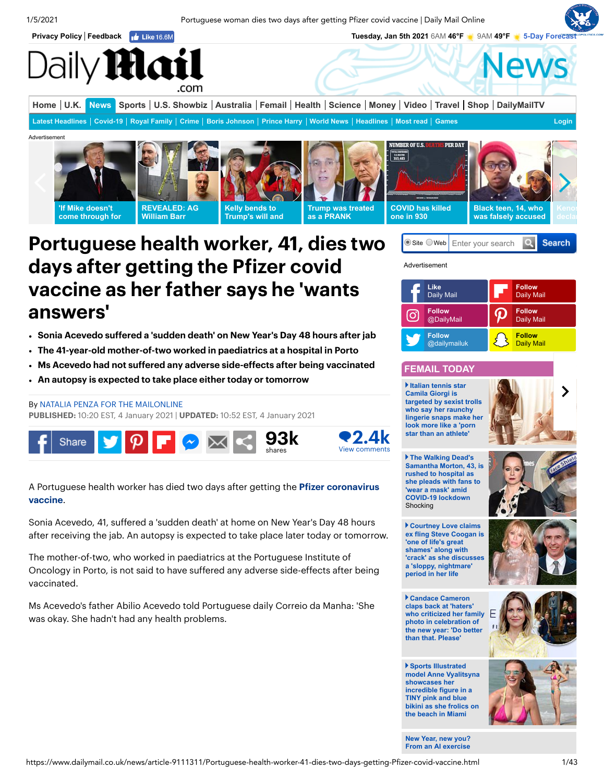1/5/2021 Portuguese woman dies two days after getting Pfizer covid vaccine | Daily Mail Online

<span id="page-0-0"></span>



# Portuguese health worker, 41, dies two days after getting the Pfizer covid vaccine as her father says he 'wants answers'

- Sonia Acevedo suffered a 'sudden death' on New Year's Day 48 hours after jab
- The 41-year-old mother-of-two worked in paediatrics at a hospital in Porto
- Ms Acevedo had not suffered any adverse side-effects after being vaccinated  $\bullet$
- An autopsy is expected to take place either today or tomorrow

## By NATALIA PENZA FOR THE [MAILONLINE](https://www.dailymail.co.uk/home/search.html?s=&authornamef=Natalia+Penza+For+The+Mailonline)

PUBLISHED: 10:20 EST, 4 January 2021 | UPDATED: 10:52 EST, 4 January 2021



A Portuguese health worker has died two days after getting the [Pfizer](https://www.dailymail.co.uk/news/pfizer/index.html) [coronavirus](https://www.dailymail.co.uk/news/coronavirus/index.html) [vaccine](https://www.dailymail.co.uk/sciencetech/coronavirus-vaccine-research/index.html).

Sonia Acevedo, 41, suffered a 'sudden death' at home on New Year's Day 48 hours after receiving the jab. An autopsy is expected to take place later today or tomorrow.

The mother-of-two, who worked in paediatrics at the Portuguese Institute of Oncology in Porto, is not said to have suffered any adverse side-effects after being vaccinated.

Ms Acevedo's father Abilio Acevedo told Portuguese daily Correio da Manha: 'She was okay. She hadn't had any health problems.



 $\bullet$  Site  $\circ$  Web Enter your search



# **FEMAIL TODAY**

**Italian tennis star Camila Giorgi is targeted by sexist trolls who say her raunchy [lingerie snaps make her](https://www.dailymail.co.uk/femail/article-9112107/Tennis-star-Camila-Giorgi-played-Wimbledon-shares-racy-lingerie-snaps-Instagram.html) look more like a 'porn star than an athlete'** 



**Search** 

**The Walking Dead's [Samantha Morton, 43, is](https://www.dailymail.co.uk/tvshowbiz/article-9114175/The-Walking-Deads-Samantha-Morton-rushed-hospital-pleads-fans-wear-mask.html) rushed to hospital as she pleads with fans to 'wear a mask' amid COVID-19 lockdown**  Shocking



**Courtney Love claims [ex fling Steve Coogan is](https://www.dailymail.co.uk/tvshowbiz/article-9113785/Courtney-Love-claims-ex-Steve-Coogan-one-lifes-great-shames.html) 'one of life's great shames' along with 'crack' as she discusses a 'sloppy, nightmare' period in her life**

**Candace Cameron claps back at 'haters' [who criticized her family](https://www.dailymail.co.uk/tvshowbiz/article-9112829/Candace-Cameron-claps-haters-criticized-family-photo-celebration-new-year.html) photo in celebration of the new year: 'Do better than that. Please'**



**Sports Illustrated [model Anne Vyalitsyna](https://www.dailymail.co.uk/tvshowbiz/article-9113767/Anne-Vyalitsyna-showcases-incredible-figure-TINY-pink-blue-bikini.html) showcases her incredible figure in a TINY pink and blue bikini as she frolics on the beach in Miami** 

**[New Year, new you?](https://www.dailymail.co.uk/femail/article-9041345/10-brands-help-stick-resolutions-2021.html) From an AI exercise**

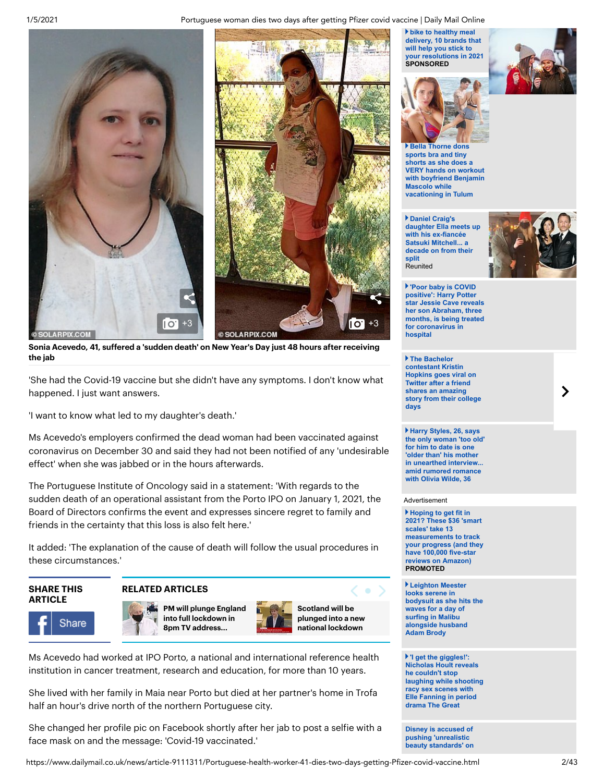### 1/5/2021 Portuguese woman dies two days after getting Pfizer covid vaccine | Daily Mail Online



Sonia Acevedo, 41, suffered a 'sudden death' on New Year's Day just 48 hours after receiving the jab

'She had the Covid-19 vaccine but she didn't have any symptoms. I don't know what happened. I just want answers.

'I want to know what led to my daughter's death.'

Ms Acevedo's employers confirmed the dead woman had been vaccinated against coronavirus on December 30 and said they had not been notified of any 'undesirable effect' when she was jabbed or in the hours afterwards.

The Portuguese Institute of Oncology said in a statement: 'With regards to the sudden death of an operational assistant from the Porto IPO on January 1, 2021, the Board of Directors confirms the event and expresses sincere regret to family and friends in the certainty that this loss is also felt here.'

It added: 'The explanation of the cause of death will follow the usual procedures in these circumstances.'

## SHARE THIS **ARTICLE**

## RELATED ARTICLES







Scotland will be plunged into a new national [lockdown](https://www.dailymail.co.uk/news/article-9111161/Nicola-Sturgeon-announces-new-coronavirus-lockdown-Scotland.html)

Ms Acevedo had worked at IPO Porto, a national and international reference health institution in cancer treatment, research and education, for more than 10 years.

She lived with her family in Maia near Porto but died at her partner's home in Trofa half an hour's drive north of the northern Portuguese city.

She changed her profile pic on Facebook shortly after her jab to post a selfie with a face mask on and the message: 'Covid-19 vaccinated.'

**bike to healthy meal delivery, 10 brands that will help you stick to [your resolutions in 2021](https://www.dailymail.co.uk/femail/article-9041345/10-brands-help-stick-resolutions-2021.html) SPONSORED**





**sports bra and tiny shorts as she does a VERY hands on workout [with boyfriend Benjamin](https://www.dailymail.co.uk/tvshowbiz/article-9112993/Bella-Thorne-does-hands-beach-workout-Tulum-boyfriend-Benjamin-Mascolo.html) Mascolo while vacationing in Tulum**

**Daniel Craig's [daughter Ella meets up](https://www.dailymail.co.uk/tvshowbiz/article-9114335/Daniel-Craigs-daughter-Ella-meets-ex-fianc-e-Satsuki-Mitchell.html) with his ex-fiancée Satsuki Mitchell... a decade on from their split Reunited** 



**'Poor baby is COVID positive': Harry Potter [star Jessie Cave reveals](https://www.dailymail.co.uk/tvshowbiz/article-9114151/Jessie-Cave-reveals-son-Abraham-three-months-treated-coronavirus-hospital.html) her son Abraham, three months, is being treated for coronavirus in hospital** 

**The Bachelor contestant Kristin Hopkins goes viral on Twitter after a friend shares an amazing [story from their college](https://www.dailymail.co.uk/tvshowbiz/article-9113703/The-Bachelor-contestant-Kristin-Hopkins-goes-viral-Twitter-friend-shares-amazing-story.html) days**

**Harry Styles, 26, says [the only woman 'too old'](https://www.dailymail.co.uk/tvshowbiz/article-9113665/Harry-Styles-says-woman-old-date-one-older-mother-2012-interview.html) for him to date is one 'older than' his mother in unearthed interview... amid rumored romance with Olivia Wilde, 36**

#### Advertisement

**Hoping to get fit in 2021? These \$36 'smart scales' take 13 measurements to track [your progress \(and they](https://www.dailymail.co.uk/health/article-9114377/These-36-smart-scales-13-measurements-track-progress.html) have 100,000 five-star reviews on Amazon) PROMOTED**

**Leighton Meester looks serene in [bodysuit as she hits the](https://www.dailymail.co.uk/tvshowbiz/article-9113629/Leighton-Meester-hits-waves-day-surfing-Malibu-alongside-husband-Adam-Brody.html) waves for a day of surfing in Malibu alongside husband Adam Brody**

**'I get the giggles!': Nicholas Hoult reveals he couldn't stop [laughing while shooting](https://www.dailymail.co.uk/tvshowbiz/article-9114093/Nicholas-Hoult-reveals-got-giggles-filming-Great-sex-scenes-Elle-Fanning.html) racy sex scenes with Elle Fanning in period drama The Great**

**Disney is accused of pushing 'unrealistic [beauty standards' on](https://www.dailymail.co.uk/femail/article-9110741/Disney-criticized-giving-female-characters-unrealistic-body-shapes-film-Inner-Workings.html)**

https://www.dailymail.co.uk/news/article-9111311/Portuguese-health-worker-41-dies-two-days-getting-Pfizer-covid-vaccine.html 2/43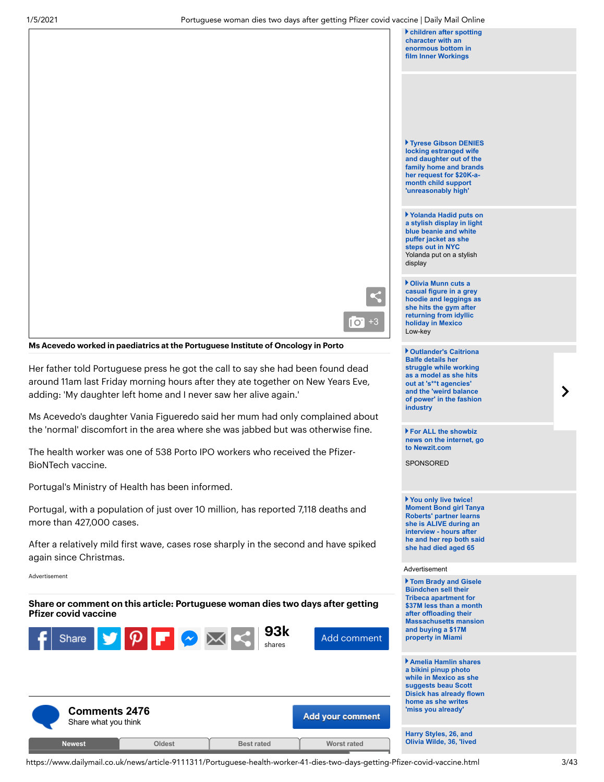**[children after spotting](https://www.dailymail.co.uk/femail/article-9110741/Disney-criticized-giving-female-characters-unrealistic-body-shapes-film-Inner-Workings.html) character with an enormous bottom in film Inner Workings**

**Tyrese Gibson DENIES locking estranged wife and daughter out of the [family home and brands](https://www.dailymail.co.uk/tvshowbiz/article-9114019/Tyrese-Gibson-DENIES-locking-estranged-wife-Samantha-Lee-daughter-family-home.html) her request for \$20K-amonth child support 'unreasonably high'** 

**Yolanda Hadid puts on [a stylish display in light](https://www.dailymail.co.uk/tvshowbiz/article-9113749/Yolanda-Hadid-puts-stylish-display-light-blue-beanie-white-puffer-jacket-NYC.html) blue beanie and white puffer jacket as she steps out in NYC** Yolanda put on a stylish display

**Olivia Munn cuts a casual figure in a grey [hoodie and leggings as](https://www.dailymail.co.uk/tvshowbiz/article-9113883/Olivia-Munn-cuts-casual-figure-grey-hoodie-leggings-goes-gym.html) she hits the gym after returning from idyllic holiday in Mexico** Low-key

**Outlander's Caitriona Balfe details her struggle while working as a model as she hits out at 's\*\*t agencies' and the 'weird balance [of power' in the fashion](https://www.dailymail.co.uk/tvshowbiz/article-9114365/Outlanders-Caitriona-Balfe-details-struggle-working-model.html) industry**

**For ALL the showbiz [news on the internet, go](https://www.newzit.com/?startTab=entertainment&ito=MOL_puffs) to Newzit.com**

SPONSORED

**You only live twice! Moment Bond girl Tanya Roberts' partner learns she is ALIVE during an interview - hours after [he and her rep both said](https://www.dailymail.co.uk/news/article-9112667/Bond-girl-Tanya-Roberts-husband-rep-said-dead-alive-claim.html) she had died aged 65**

#### Advertisement

**Tom Brady and Gisele Bündchen sell their Tribeca apartment for \$37M less than a month after offloading their [Massachusetts mansion](https://www.dailymail.co.uk/news/article-9112219/Tom-Brady-Gisele-B-ndchen-sell-Tribeca-apartment-37M-10M-paid-2018.html) and buying a \$17M property in Miami**

**Amelia Hamlin shares a bikini pinup photo while in Mexico as she suggests beau Scott [Disick has already flown](https://www.dailymail.co.uk/tvshowbiz/article-9112621/Amelia-Hamlin-shares-bikini-pinup-photos-Mexico.html) home as she writes 'miss you already'**

<span id="page-2-0"></span>

Share or comment on this article: Portuguese woman dies two days after getting

 $P$   $\blacktriangleright$   $\bowtie$ 

Ms Acevedo worked in paediatrics at the Portuguese Institute of Oncology in Porto

adding: 'My daughter left home and I never saw her alive again.'

Portugal's Ministry of Health has been informed.

Her father told Portuguese press he got the call to say she had been found dead around 11am last Friday morning hours after they ate together on New Years Eve,

Ms Acevedo's daughter Vania Figueredo said her mum had only complained about the 'normal' discomfort in the area where she was jabbed but was otherwise fine.

The health worker was one of 538 Porto IPO workers who received the Pfizer-

Portugal, with a population of just over 10 million, has reported 7,118 deaths and

After a relatively mild first wave, cases rose sharply in the second and have spiked

Pfizer covid vaccine

Share

BioNTech vaccine.

more than 427,000 cases.

again since Christmas.

Advertisement

https://www.dailymail.co.uk/news/article-9111311/Portuguese-health-worker-41-dies-two-days-getting-Pfizer-covid-vaccine.html 3/43

93k shares

Add [comment](#page-3-0)

 $\overline{1}$   $\overline{O}$  +3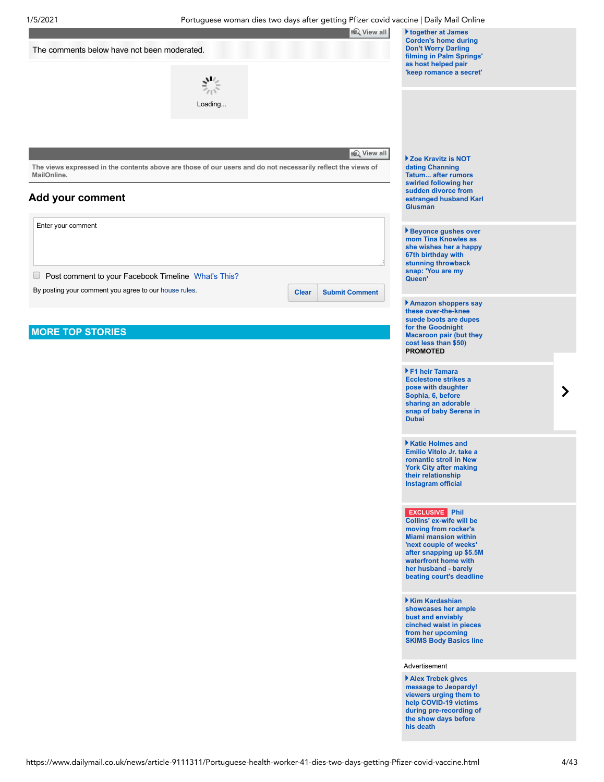<span id="page-3-0"></span>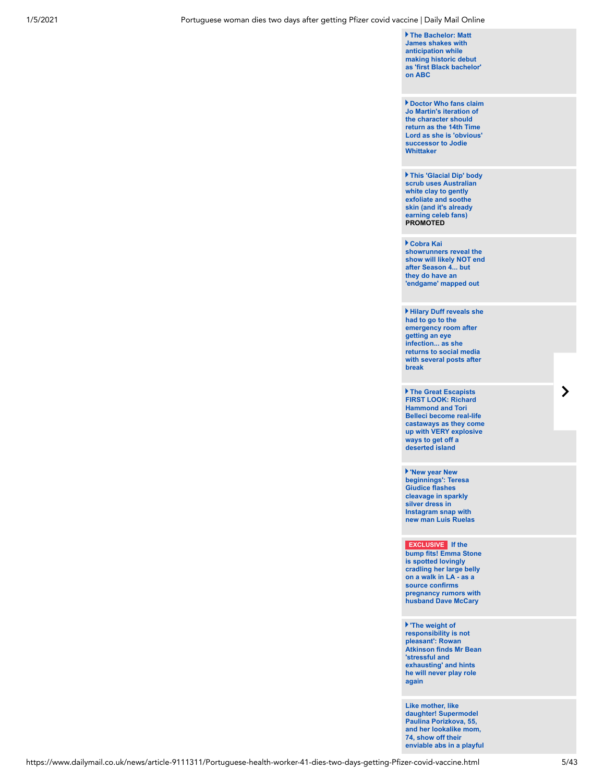**The Bachelor: Matt James shakes with anticipation while making historic debut [as 'first Black bachelor'](https://www.dailymail.co.uk/tvshowbiz/article-9113457/The-Bachelor-Matt-James-shakes-anticipation-making-debut-Black-bachelor.html) on ABC**

**Doctor Who fans claim Jo Martin's iteration of the character should return as the 14th Time [Lord as she is 'obvious'](https://www.dailymail.co.uk/tvshowbiz/article-9113773/Doctor-fans-say-Jo-Martin-obvious-choice-replace-Jodie-Whittaker-QUITS.html) successor to Jodie Whittaker**

**[This 'Glacial Dip' body](https://www.dailymail.co.uk/femail/article-9090777/This-Glacial-Dip-body-scrub-uses-Australian-white-clay-gently-exfoliate-soothe-skin.html) scrub uses Australian white clay to gently exfoliate and soothe skin (and it's already earning celeb fans) PROMOTED**

**Cobra Kai showrunners reveal the [show will likely NOT end](https://www.dailymail.co.uk/tvshowbiz/article-9113631/Cobra-Kai-showrunners-reveal-likely-NOT-end-Season-4.html) after Season 4... but they do have an 'endgame' mapped out**

**Hilary Duff reveals she had to go to the emergency room after getting an eye infection... as she returns to social media [with several posts after](https://www.dailymail.co.uk/tvshowbiz/article-9113277/Hilary-Duff-reveals-emergency-room-visit-getting-eye-infection-holiday-break.html) break**

**The Great Escapists FIRST LOOK: Richard Hammond and Tori Belleci become real-life [castaways as they come](https://www.dailymail.co.uk/tvshowbiz/article-9114111/The-Great-Escapists-LOOK-Richard-Hammond-Tori-Belleci-real-life-castaways.html) up with VERY explosive ways to get off a deserted island**

**'New year New beginnings': Teresa Giudice flashes cleavage in sparkly silver dress in Instagram snap with [new man Luis Ruelas](https://www.dailymail.co.uk/tvshowbiz/article-9113653/Teresa-Giudice-flashes-cleavage-sparkly-silver-dress-Instagram-snap-new-man-Luis-Ruelas.html)**

**EXCLUSIVE If the [bump fits! Emma Stone](https://www.dailymail.co.uk/news/article-9111897/Emma-Stone-spotted-lovingly-cradling-large-belly.html) is spotted lovingly cradling her large belly on a walk in LA - as a source confirms pregnancy rumors with husband Dave McCary** 

**'The weight of responsibility is not pleasant': Rowan [Atkinson finds Mr Bean](https://www.dailymail.co.uk/tvshowbiz/article-9111827/Rowan-Atkinson-reveals-doesnt-like-playing-Mr-Bean-finds-stressful-exhausting.html) 'stressful and exhausting' and hints he will never play role again**

**Like mother, like daughter! Supermodel Paulina Porizkova, 55, and her lookalike mom, 74, show off their [enviable abs in a playful](https://www.dailymail.co.uk/femail/article-9112093/Paulina-Porizkova-lookalike-mother-matching-abs.html)**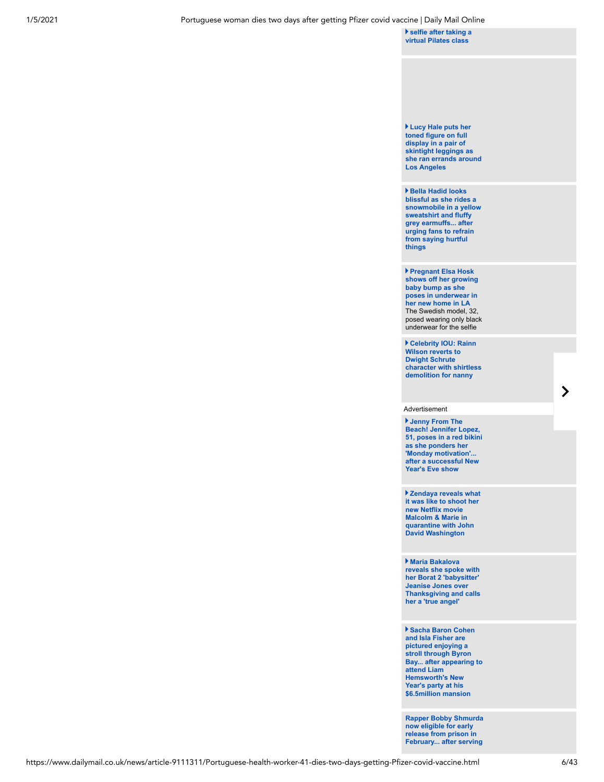**selfie after taking a [virtual Pilates class](https://www.dailymail.co.uk/femail/article-9112093/Paulina-Porizkova-lookalike-mother-matching-abs.html)**

**Lucy Hale puts her toned figure on full display in a pair of skintight leggings as [she ran errands around](https://www.dailymail.co.uk/tvshowbiz/article-9113497/Lucy-Hale-showed-toned-figure-skintight-black-leggings-ran-errands-LA.html) Los Angeles**

**Bella Hadid looks blissful as she rides a [snowmobile in a yellow](https://www.dailymail.co.uk/tvshowbiz/article-9113359/Bella-Hadid-rides-snowmobile-urging-fans-refrain-saying-hurtful-things.html) sweatshirt and fluffy grey earmuffs... after urging fans to refrain from saying hurtful things**

**Pregnant Elsa Hosk shows off her growing baby bump as she poses in underwear in her new home in LA** The Swedish model, 32, [posed wearing only black](https://www.dailymail.co.uk/tvshowbiz/article-9113535/Pregnant-Elsa-Hosk-shows-growing-baby-bump-poses-underwear-new-home-LA.html) underwear for the selfie

**Celebrity IOU: Rainn Wilson reverts to Dwight Schrute [character with shirtless](https://www.dailymail.co.uk/tvshowbiz/article-9113605/Celebrity-IOU-Rainn-Wilson-reverts-Dwight-Schrute-character-shirtless-demolition-nanny.html) demolition for nanny**

#### Advertisement

**Jenny From The Beach! Jennifer Lopez, [51, poses in a red bikini](https://www.dailymail.co.uk/tvshowbiz/article-9112201/Jennifer-Lopez-51-poses-red-bikini-beach-looks-Monday-motivation.html) as she ponders her 'Monday motivation'... after a successful New Year's Eve show**

**Zendaya reveals what [it was like to shoot her](https://www.dailymail.co.uk/tvshowbiz/article-9113495/Zendaya-reveals-like-shoot-new-Netflix-movie-Malcolm-Marie-quarantine.html) new Netflix movie Malcolm & Marie in quarantine with John David Washington**

**Maria Bakalova reveals she spoke with her Borat 2 'babysitter' Jeanise Jones over [Thanksgiving and calls](https://www.dailymail.co.uk/tvshowbiz/article-9113305/Maria-Bakalova-reveals-spoke-Borat-2-babysitter-Jeanise-Jones.html) her a 'true angel'**

**Sacha Baron Cohen and Isla Fisher are pictured enjoying a stroll through Byron [Bay... after appearing to](https://www.dailymail.co.uk/tvshowbiz/article-9113493/Sacha-Baron-Cohen-Isla-Fisher-enjoy-stroll-Byron-Bay.html) attend Liam Hemsworth's New Year's party at his \$6.5million mansion**

**[Rapper Bobby Shmurda](https://www.dailymail.co.uk/tvshowbiz/article-9113087/Rapper-Bobby-Shmurda-eligible-early-release-prison-February-serving-six-years.html) now eligible for early release from prison in February... after serving**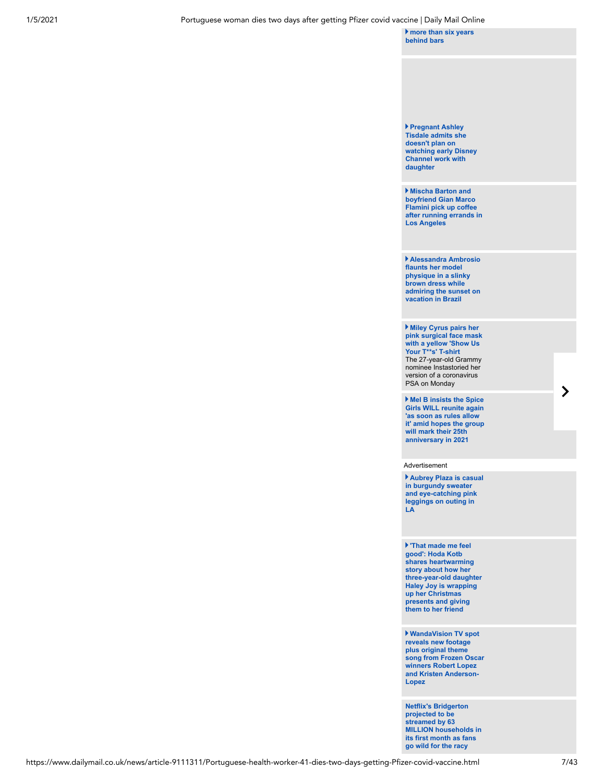**[more than six years](https://www.dailymail.co.uk/tvshowbiz/article-9113087/Rapper-Bobby-Shmurda-eligible-early-release-prison-February-serving-six-years.html) behind bars**

#### **Pregnant Ashley Tisdale admits she doesn't plan on [watching early Disney](https://www.dailymail.co.uk/tvshowbiz/article-9113061/Pregnant-Ashley-Tisdale-admits-doesnt-plan-watching-early-Disney-Channel-work-daughter.html) Channel work with daughter**

**Mischa Barton and boyfriend Gian Marco Flamini pick up coffee [after running errands in](https://www.dailymail.co.uk/tvshowbiz/article-9113343/Mischa-Barton-boyfriend-Gian-Marco-Flamini-pick-coffee-running-errands-Los-Angeles.html) Los Angeles**

**Alessandra Ambrosio flaunts her model physique in a slinky brown dress while [admiring the sunset on](https://www.dailymail.co.uk/tvshowbiz/article-9113197/Alessandra-Ambrosio-flaunts-model-physique-slinky-brown-dress-vacation-Brazil.html) vacation in Brazil**

**Miley Cyrus pairs her [pink surgical face mask](https://www.dailymail.co.uk/tvshowbiz/article-9112867/Miley-Cyrus-pairs-pink-surgical-face-mask-yellow-T-s-T-shirt.html) with a yellow 'Show Us Your T\*\*s' T-shirt** The 27-year-old Grammy nominee Instastoried her version of a coronavirus PSA on Monday

**Mel B insists the Spice Girls WILL reunite again 'as soon as rules allow [it' amid hopes the group](https://www.dailymail.co.uk/tvshowbiz/article-9113083/Mel-B-insists-Spice-Girls-reunite-soon-rules-allow-it.html) will mark their 25th anniversary in 2021**

Advertisement

**[Aubrey Plaza is casual](https://www.dailymail.co.uk/tvshowbiz/article-9113289/Aubrey-Plaza-casual-burgundy-sweater-eye-catching-pink-leggings-outing-LA.html) in burgundy sweater and eye-catching pink leggings on outing in LA**

**'That made me feel good': Hoda Kotb shares heartwarming story about how her [three-year-old daughter](https://www.dailymail.co.uk/femail/article-9112989/Hoda-Kotbs-three-year-old-daughter-Haley-Joy-giving-Christmas-presents-friend.html) Haley Joy is wrapping up her Christmas presents and giving them to her friend**

**WandaVision TV spot reveals new footage plus original theme [song from Frozen Oscar](https://www.dailymail.co.uk/tvshowbiz/article-9113185/WandaVision-TV-spot-reveals-new-footage-plus-original-theme-song.html) winners Robert Lopez and Kristen Anderson-Lopez**

**Netflix's Bridgerton projected to be streamed by 63 [MILLION households in](https://www.dailymail.co.uk/tvshowbiz/article-9113193/Netflixs-new-period-drama-Bridgerton-streamed-63-million-households-28-days.html) its first month as fans go wild for the racy**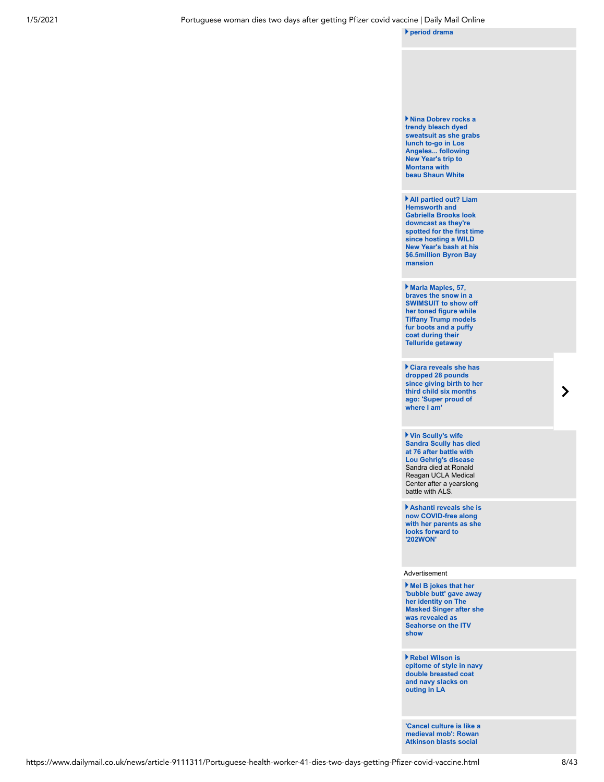

**medieval mob': Rowan Atkinson blasts social**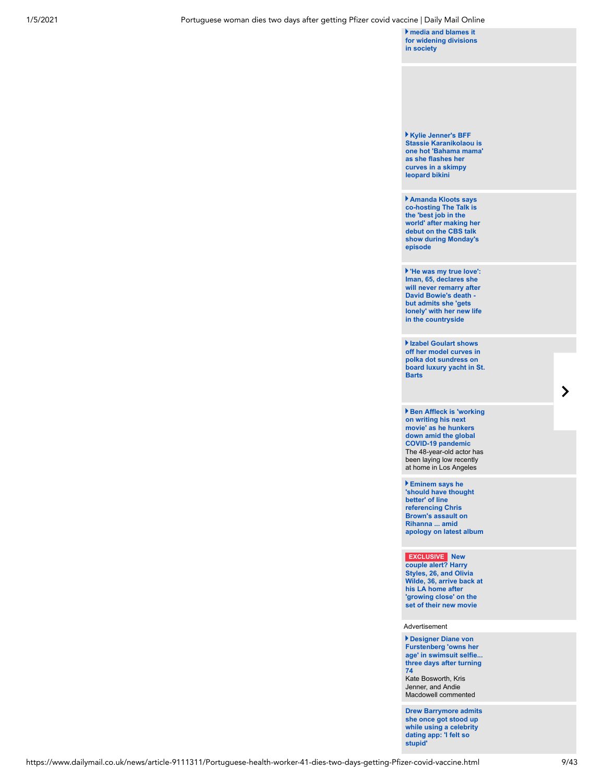**media and blames it [for widening divisions](https://www.dailymail.co.uk/news/article-9113095/Rowan-Atkinson-blasts-social-media-blames-widening-divisions-society.html) in society** 

**Kylie Jenner's BFF Stassie Karanikolaou is [one hot 'Bahama mama'](https://www.dailymail.co.uk/tvshowbiz/article-9112813/Kylie-Jenners-BFF-Stassie-Karanikolaou-flashes-curves-skimpy-leopard-bikini-Bahamas.html) as she flashes her curves in a skimpy leopard bikini**

**Amanda Kloots says co-hosting The Talk is the 'best job in the [world' after making her](https://www.dailymail.co.uk/tvshowbiz/article-9112919/Amanda-Kloots-says-hosting-Talk-best-job-world.html) debut on the CBS talk show during Monday's episode**

**'He was my true love': Iman, 65, declares she will never remarry after David Bowie's death but admits she 'gets [lonely' with her new life](https://www.dailymail.co.uk/tvshowbiz/article-9111157/Iman-admits-gets-lonely-countryside-says-shell-never-remarry-Bowies-death.html) in the countryside**

**Izabel Goulart shows off her model curves in polka dot sundress on [board luxury yacht in St.](https://www.dailymail.co.uk/tvshowbiz/article-9112879/Izabel-Goulart-shows-model-curves-polka-dot-sundress-board-luxury-yacht-St-Barts.html) Barts**

**Ben Affleck is 'working on writing his next movie' as he hunkers down amid the global COVID-19 pandemic** [The 48-year-old actor has](https://www.dailymail.co.uk/tvshowbiz/article-9112967/Ben-Affleck-working-writing-movie-hunkers-amid-COVID-19-pandemic.html) been laying low recently at home in Los Angeles

**Eminem says he 'should have thought better' of line referencing Chris Brown's assault on Rihanna ... amid [apology on latest album](https://www.dailymail.co.uk/tvshowbiz/article-9112793/Eminem-says-thought-better-line-referencing-Chris-Browns-assault-Rihanna.html)**

**EXCLUSIVE New couple alert? Harry Styles, 26, and Olivia [Wilde, 36, arrive back at](https://www.dailymail.co.uk/tvshowbiz/article-9111857/Harry-Styles-Olivia-Wilde-thought-dating.html) his LA home after 'growing close' on the set of their new movie** 

Advertisement

**Designer Diane von Furstenberg 'owns her [age' in swimsuit selfie...](https://www.dailymail.co.uk/tvshowbiz/article-9112059/Designer-Diane-von-Furstenberg-owns-age-swimsuit-selfie-three-days-turning-74.html) three days after turning 74** Kate Bosworth, Kris Jenner, and Andie

**[Drew Barrymore admits](https://www.dailymail.co.uk/tvshowbiz/article-9112403/Drew-Barrymore-admits-got-stood-using-celebrity-dating-app.html) she once got stood up while using a celebrity dating app: 'I felt so stupid'**

Macdowell commented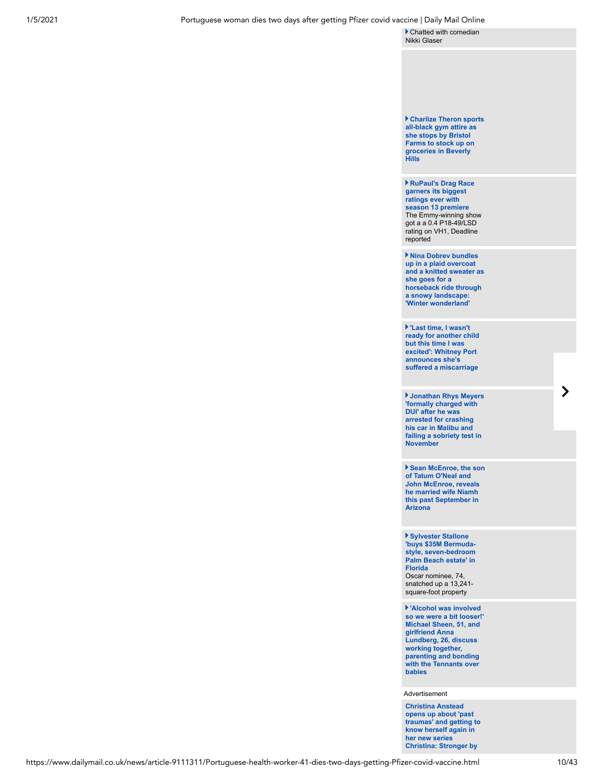[Chatted with comedian](https://www.dailymail.co.uk/tvshowbiz/article-9112403/Drew-Barrymore-admits-got-stood-using-celebrity-dating-app.html) Nikki Glaser

**[Charlize Theron sports](https://www.dailymail.co.uk/tvshowbiz/article-9112975/Charlize-Theron-sports-black-gym-attire-stops-Bristol-Farms-stock-groceries.html) all-black gym attire as she stops by Bristol Farms to stock up on groceries in Beverly Hills**

**RuPaul's Drag Race garners its biggest ratings ever with season 13 premiere** [The Emmy-winning show](https://www.dailymail.co.uk/tvshowbiz/article-9113017/RuPauls-Drag-Race-garners-biggest-ratings-season-13-premiere.html) got a a 0.4 P18-49/LSD rating on VH1, Deadline reported

**Nina Dobrev bundles up in a plaid overcoat [and a knitted sweater as](https://www.dailymail.co.uk/tvshowbiz/article-9112649/Nina-Dobrev-bundles-goes-horseback-ride-snowy-landscape-Winter-Wonderland.html) she goes for a horseback ride through a snowy landscape: 'Winter wonderland'**

**'Last time, I wasn't [ready for another child](https://www.dailymail.co.uk/tvshowbiz/article-9112777/Whitney-Port-announces-miscarriage-two-years-pregnancy-loss.html) but this time I was excited': Whitney Port announces she's suffered a miscarriage**

**Jonathan Rhys Meyers 'formally charged with DUI' after he was arrested for crashing his car in Malibu and [failing a sobriety test in](https://www.dailymail.co.uk/tvshowbiz/article-9112779/Jonathan-Rhys-Meyers-formally-charged-DUI-November-arrest.html) November**

**[Sean McEnroe, the son](https://www.dailymail.co.uk/tvshowbiz/article-9112909/Sean-McEnroe-son-Tatum-ONeal-John-McEnroe-reveals-married-wife-Niamh.html) of Tatum O'Neal and John McEnroe, reveals he married wife Niamh this past September in Arizona**

**Sylvester Stallone 'buys \$35M Bermuda[style, seven-bedroom](https://www.dailymail.co.uk/tvshowbiz/article-9112257/Sylvester-Stallone-buys-35M-Bermuda-style-seven-bedroom-Palm-Beach-estate-Florida.html) Palm Beach estate' in Florida** Oscar nominee, 74,

snatched up a 13,241square-foot property

**'Alcohol was involved [so we were a bit looser!'](https://www.dailymail.co.uk/tvshowbiz/article-9111657/Michael-Sheen-girlfriend-Anna-Lundberg-discuss-working-together.html) Michael Sheen, 51, and girlfriend Anna Lundberg, 26, discuss working together, parenting and bonding with the Tennants over babies**

Advertisement

**Christina Anstead opens up about 'past [traumas' and getting to](https://www.dailymail.co.uk/tvshowbiz/article-9112917/Christina-Anstead-opens-past-traumas-getting-know-new-series.html) know herself again in her new series Christina: Stronger by**

 $\blacktriangleright$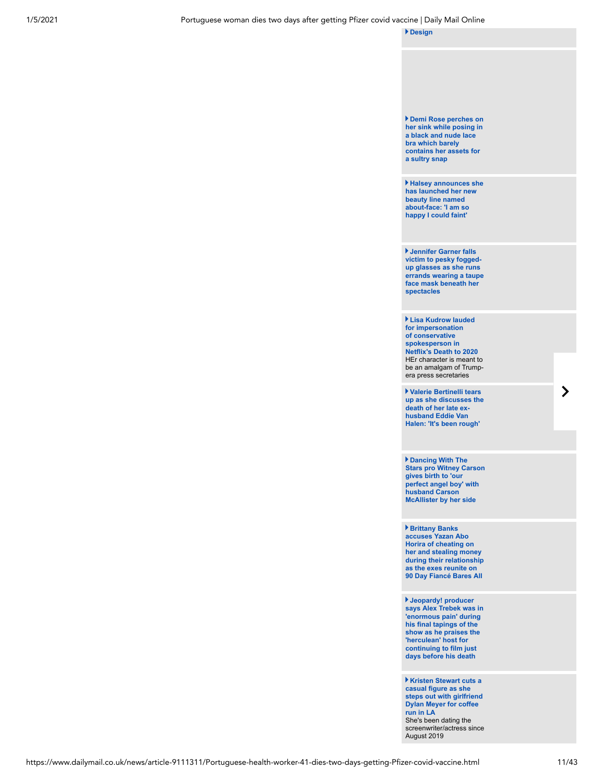**[Design](https://www.dailymail.co.uk/tvshowbiz/article-9112917/Christina-Anstead-opens-past-traumas-getting-know-new-series.html)**

**Demi Rose perches on [her sink while posing in](https://www.dailymail.co.uk/tvshowbiz/article-9112757/Demi-Rose-perches-sink-leans-against-bathroom-mirror-black-nude-lace-bra.html) a black and nude lace bra which barely contains her assets for a sultry snap**

**[Halsey announces she](https://www.dailymail.co.uk/tvshowbiz/article-9112397/Halsey-takes-Twitter-announce-arrival-new-beauty-line-entitled-Face.html) has launched her new beauty line named about-face: 'I am so happy I could faint'**

**Jennifer Garner falls victim to pesky foggedup glasses as she runs [errands wearing a taupe](https://www.dailymail.co.uk/tvshowbiz/article-9112625/Jennifer-Garner-falls-victim-pesky-fogged-glasses-runs-errands.html) face mask beneath her spectacles** 

**Lisa Kudrow lauded for impersonation of conservative spokesperson in Netflix's Death to 2020** HEr character is meant to [be an amalgam of Trump](https://www.dailymail.co.uk/tvshowbiz/article-9112765/Lisa-Kudrow-lauded-impersonation-conservative-spokesperson-Netflixs-Death-2020.html)era press secretaries

**Valerie Bertinelli tears [up as she discusses the](https://www.dailymail.co.uk/tvshowbiz/article-9112075/Valerie-Bertinelli-tears-discusses-death-late-ex-husband-Eddie-Van-Halen.html) death of her late exhusband Eddie Van Halen: 'It's been rough'**

**Dancing With The [Stars pro Witney Carson](https://www.dailymail.co.uk/tvshowbiz/article-9112645/DWTS-pro-Witney-Carson-gives-birth-perfect-angel-boy-husband-Carson-McAllister-side.html) gives birth to 'our perfect angel boy' with husband Carson McAllister by her side**

**Brittany Banks accuses Yazan Abo Horira of cheating on her and stealing money [during their relationship](https://www.dailymail.co.uk/tvshowbiz/article-9111865/Brittany-Banks-accuses-Yazan-Abo-Horira-cheating-stealing-money.html) as the exes reunite on 90 Day Fiancé Bares All**

**Jeopardy! producer [says Alex Trebek was in](https://www.dailymail.co.uk/femail/article-9112117/Jeopardy-producer-says-Alex-Trebek-enormous-pain-final-tapings-show.html) 'enormous pain' during his final tapings of the show as he praises the 'herculean' host for continuing to film just days before his death**

**Kristen Stewart cuts a casual figure as she steps out with girlfriend Dylan Meyer for coffee run in LA** She's been dating the [screenwriter/actress since](https://www.dailymail.co.uk/tvshowbiz/article-9112349/Kristen-Stewart-cuts-casual-figure-steps-girlfriend-Dylan-Meyer-coffee-run.html) August 2019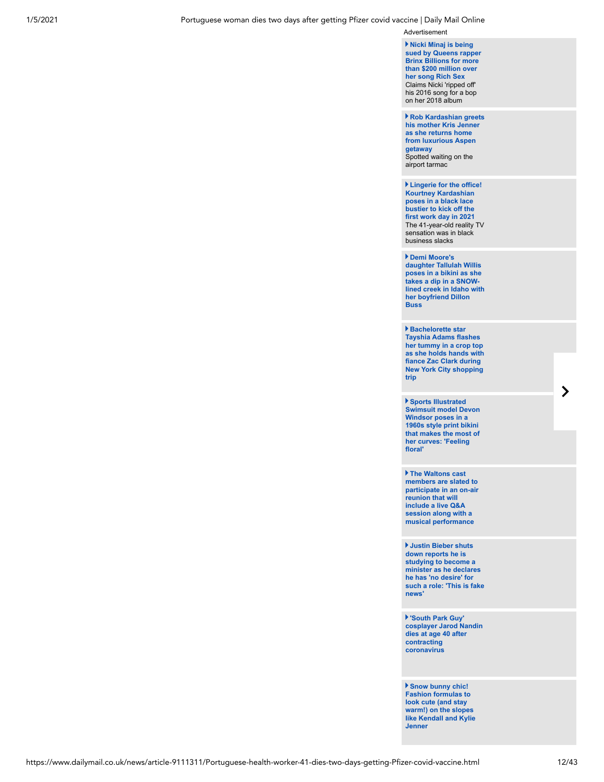Advertisement

**Nicki Minaj is being [sued by Queens rapper](https://www.dailymail.co.uk/tvshowbiz/article-9112491/Nicki-Minaj-sued-Queens-rapper-Brinx-Billions-200-million-song-Rich-Sex.html) Brinx Billions for more than \$200 million over her song Rich Sex** Claims Nicki 'ripped off' his 2016 song for a bop on her 2018 album

**[Rob Kardashian greets](https://www.dailymail.co.uk/tvshowbiz/article-9111847/Rob-Kardashian-greets-mother-Kris-Jenner-returns-home-luxurious-Aspen-getaway.html) his mother Kris Jenner as she returns home from luxurious Aspen getaway**  Spotted waiting on the airport tarmac

**Lingerie for the office! Kourtney Kardashian poses in a black lace bustier to kick off the first work day in 2021** [The 41-year-old reality TV](https://www.dailymail.co.uk/tvshowbiz/article-9112085/Kourtney-Kardashian-poses-black-lace-bustier-kick-work-day-2021.html) sensation was in black business slacks

**Demi Moore's daughter Tallulah Willis poses in a bikini as she takes a dip in a SNOW[lined creek in Idaho with](https://www.dailymail.co.uk/tvshowbiz/article-9111597/Demi-Moores-daughter-Tallulah-Willis-poses-bikini-takes-dip-SNOW-lined-creek.html) her boyfriend Dillon Buss**

**Bachelorette star Tayshia Adams flashes her tummy in a crop top [as she holds hands with](https://www.dailymail.co.uk/tvshowbiz/article-9112133/Tayshia-Adams-fiance-Zac-Clark-spotted-taking-stroll-streets-NYC.html) fiance Zac Clark during New York City shopping trip**

**Sports Illustrated [Swimsuit model Devon](https://www.dailymail.co.uk/tvshowbiz/article-9111833/Devon-Windsor-poses-1960s-style-print-bikini-makes-curves.html) Windsor poses in a 1960s style print bikini that makes the most of her curves: 'Feeling floral'**

**The Waltons cast members are slated to [participate in an on-air](https://www.dailymail.co.uk/tvshowbiz/article-9111923/The-Waltons-cast-members-slated-reunite-benefit-program-Stars-House.html) reunion that will include a live Q&A session along with a musical performance**

**Justin Bieber shuts down reports he is studying to become a minister as he declares he has 'no desire' for [such a role: 'This is fake](https://www.dailymail.co.uk/tvshowbiz/article-9112145/Justin-Bieber-shuts-reports-studying-minister.html) news'**

**'South Park Guy' [cosplayer Jarod Nandin](https://www.dailymail.co.uk/tvshowbiz/article-9111555/South-Park-Guy-cosplayer-Jarod-Nandin-dies-age-40-contracting-coronavirus.html) dies at age 40 after contracting coronavirus** 

**Snow bunny chic! Fashion formulas to look cute (and stay warm!) on the slopes [like Kendall and Kylie](https://www.dailymail.co.uk/femail/article-9111771/Fashion-formulas-look-cute-stay-warm-slopes-like-Kendall-Kylie-Jenner.html) Jenner**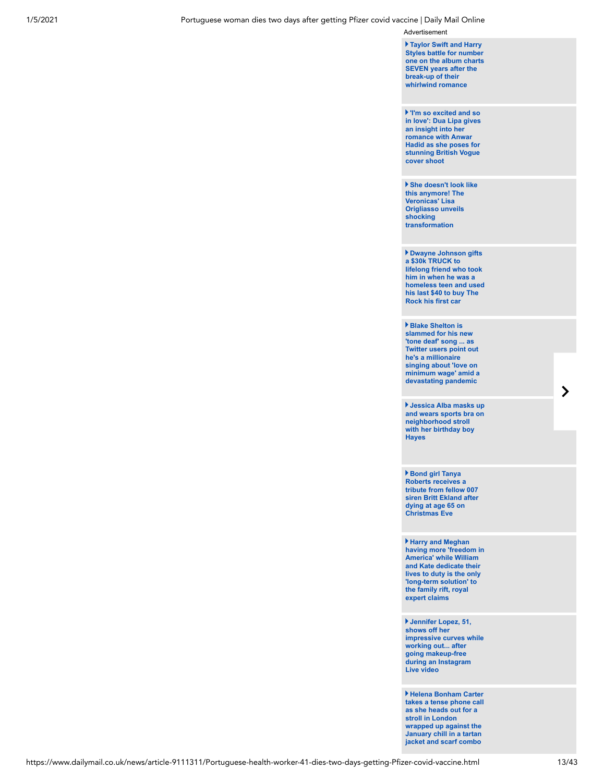Advertisement

**Taylor Swift and Harry Styles battle for number [one on the album charts](https://www.dailymail.co.uk/tvshowbiz/article-9112415/Harry-Styles-Taylor-Swift-battle-No1-album-charts-SEVEN-years-break-up.html) SEVEN years after the break-up of their whirlwind romance**

**'I'm so excited and so [in love': Dua Lipa gives](https://www.dailymail.co.uk/tvshowbiz/article-9112047/Dua-Lipa-looks-incredible-models-series-cropped-hairstyles-British-Vogue.html) an insight into her romance with Anwar Hadid as she poses for stunning British Vogue cover shoot**

**[She doesn't look like](https://www.dailymail.co.uk/tvshowbiz/article-9110909/She-doesnt-look-like-anymore-Veronicas-Lisa-Origliasso-unveils-shocking-transformation.html) this anymore! The Veronicas' Lisa Origliasso unveils shocking transformation**

**Dwayne Johnson gifts a \$30k TRUCK to lifelong friend who took him in when he was a [homeless teen and used](https://www.dailymail.co.uk/tvshowbiz/article-9111053/Dwayne-Rock-Johnson-gifts-TRUCK-friend-took-homeless-teenager.html) his last \$40 to buy The Rock his first car**

**Blake Shelton is slammed for his new 'tone deaf' song ... as Twitter users point out he's a millionaire singing about 'love on [minimum wage' amid a](https://www.dailymail.co.uk/tvshowbiz/article-9111805/Blake-Shelton-slammed-new-song-debuting-NYE-special.html) devastating pandemic**

**Jessica Alba masks up [and wears sports bra on](https://www.dailymail.co.uk/tvshowbiz/article-9111531/Jessica-Alba-masks-wears-sports-bra-neighborhood-stroll-birthday-boy-Hayes.html) neighborhood stroll with her birthday boy Hayes**

**Bond girl Tanya Roberts receives a tribute from fellow 007 [siren Britt Ekland after](https://www.dailymail.co.uk/tvshowbiz/article-9111265/Bond-girl-Tanya-Roberts-receives-tribute-fellow-007-siren-Britt-Ekland.html) dying at age 65 on Christmas Eve**

**Harry and Meghan [having more 'freedom in](https://www.dailymail.co.uk/femail/article-9111499/Long-term-solution-feud-Prince-Harry-Meghan-Markle-enjoy-freedom-expert-claims.html) America' while William and Kate dedicate their lives to duty is the only 'long-term solution' to the family rift, royal expert claims**

**Jennifer Lopez, 51, shows off her [impressive curves while](https://www.dailymail.co.uk/tvshowbiz/article-9111459/Jennifer-Lopez-puts-work-gym-poses-snap-hosting-IGTV-video.html) working out... after going makeup-free during an Instagram Live video**

**Helena Bonham Carter [takes a tense phone call](https://www.dailymail.co.uk/tvshowbiz/article-9111981/Helena-Bonham-Carter-takes-tense-phone-call-heads-stroll-London.html) as she heads out for a stroll in London wrapped up against the January chill in a tartan jacket and scarf combo**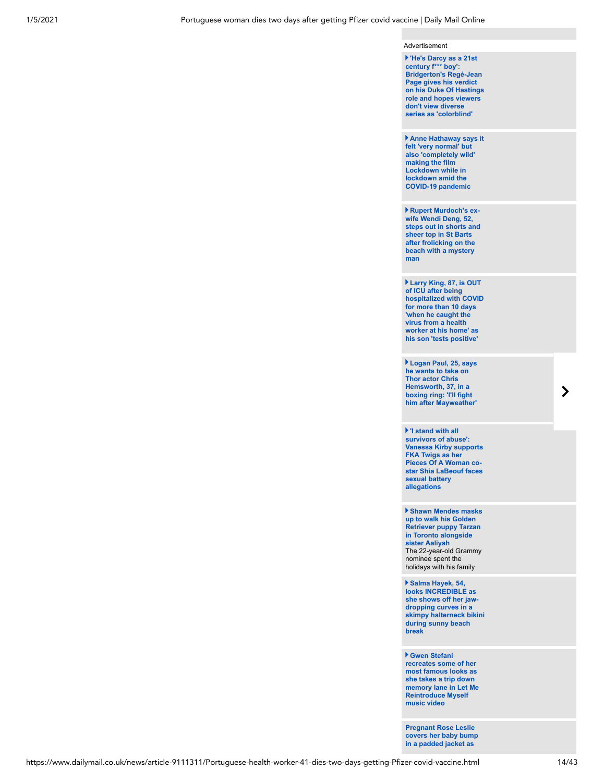#### Advertisement

| He's Darcy as a 21st<br>century f*** boy':<br><b>Bridgerton's Regé-Jean</b><br>Page gives his verdict<br>on his Duke Of Hastings<br>role and hopes viewers<br>don't view diverse<br>series as 'colorblind' |
|------------------------------------------------------------------------------------------------------------------------------------------------------------------------------------------------------------|
| Anne Hathaway says it<br>felt 'very normal' but<br>also 'completely wild'<br>making the film<br>Lockdown while in<br>lockdown amid the<br><b>COVID-19 pandemic</b>                                         |
| Rupert Murdoch's ex-<br>wife Wendi Deng, 52,<br>steps out in shorts and<br>sheer top in St Barts<br>after frolicking on the<br>beach with a mystery<br>man                                                 |
| Larry King, 87, is OUT<br>of ICU after being<br>hospitalized with COVID<br>for more than 10 days<br>'when he caught the<br>virus from a health<br>worker at his home' as<br>his son 'tests positive'       |
| Logan Paul, 25, says<br>he wants to take on                                                                                                                                                                |

**Thor actor Chris Hemsworth, 37, in a boxing ring: 'I'll fight [him after Mayweather'](https://www.dailymail.co.uk/tvshowbiz/article-9111727/Logan-Paul-expresses-desire-step-boxing-ring-Chris-Hemsworth.html)**

**'I stand with all survivors of abuse': [Vanessa Kirby supports](https://www.dailymail.co.uk/tvshowbiz/article-9112031/Vanessa-Kirby-shares-support-FKA-Twigs-sexual-battery-allegations-against-Shia-LaBeouf.html) FKA Twigs as her Pieces Of A Woman costar Shia LaBeouf faces sexual battery allegations**

**Shawn Mendes masks up to walk his Golden Retriever puppy Tarzan in Toronto alongside sister Aaliyah** [The 22-year-old Grammy](https://www.dailymail.co.uk/tvshowbiz/article-9111773/Shawn-Mendes-masks-walk-Golden-Retriever-puppy-Tarzan-Toronto-alongside-sister-Aaliyah.html) nominee spent the holidays with his family

**Salma Hayek, 54, looks INCREDIBLE as she shows off her jawdropping curves in a [skimpy halterneck bikini](https://www.dailymail.co.uk/tvshowbiz/article-9110261/Salma-Hayek-54-looks-INCREDIBLE-skimpy-bikini-sunny-beach-break.html) during sunny beach break**

**Gwen Stefani recreates some of her most famous looks as she takes a trip down [memory lane in Let Me](https://www.dailymail.co.uk/tvshowbiz/article-9110689/Gwen-Stefani-recreates-famous-looks-Let-Reintroduce-music-video.html) Reintroduce Myself music video**

**Pregnant Rose Leslie [covers her baby bump](https://www.dailymail.co.uk/tvshowbiz/article-9111369/Pregnant-Rose-Leslie-husband-Kit-Harington-stock-organic-milk-dog-walk.html) in a padded jacket as**

 $\blacktriangleright$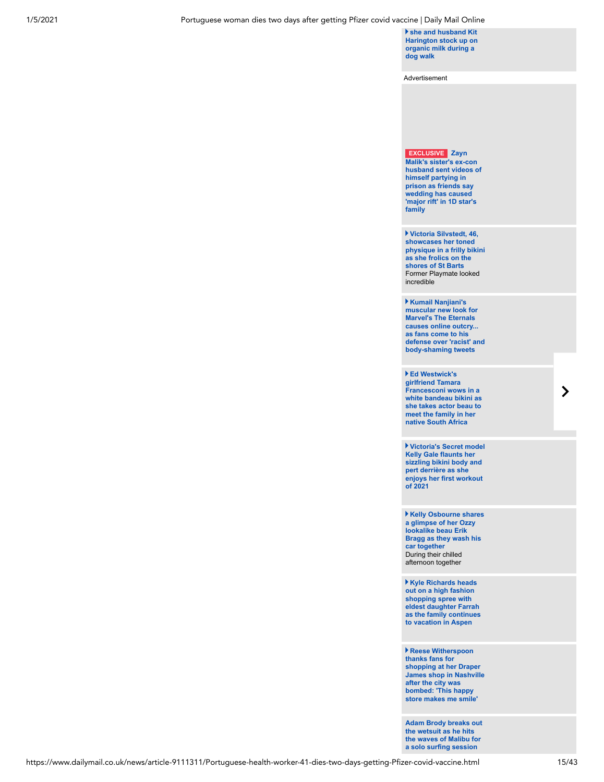#### 1/5/2021 Portuguese woman dies two days after getting Pfizer covid vaccine | Daily Mail Online

**she and husband Kit [Harington stock up on](https://www.dailymail.co.uk/tvshowbiz/article-9111369/Pregnant-Rose-Leslie-husband-Kit-Harington-stock-organic-milk-dog-walk.html) organic milk during a dog walk**

Advertisement

**EXCLUSIVE Zayn Malik's sister's ex-con [husband sent videos of](https://www.dailymail.co.uk/tvshowbiz/article-9111551/Zayn-Maliks-sisters-ex-husband-sent-videos-partying-pals-prison.html) himself partying in prison as friends say wedding has caused 'major rift' in 1D star's family**

**Victoria Silvstedt, 46, showcases her toned [physique in a frilly bikini](https://www.dailymail.co.uk/tvshowbiz/article-9110365/Victoria-Silvstedt-46-wows-frilly-bikini-frolics-shores-St-Barts.html) as she frolics on the shores of St Barts** Former Playmate looked incredible

**Kumail Nanjiani's muscular new look for Marvel's The Eternals causes online outcry... as fans come to his [defense over 'racist' and](https://www.dailymail.co.uk/tvshowbiz/article-9110179/Kumail-Nanjianis-muscular-transformation-Marvels-Eternals-debated-Twitter.html) body-shaming tweets** 

**Ed Westwick's girlfriend Tamara Francesconi wows in a [white bandeau bikini as](https://www.dailymail.co.uk/tvshowbiz/article-9110819/Ed-Westwicks-girlfriend-Tamara-Francesconi-takes-actor-beau-meet-family-South-Africa.html) she takes actor beau to**

**meet the family in her native South Africa**

**Victoria's Secret model Kelly Gale flaunts her sizzling bikini body and pert derrière as she [enjoys her first workout](https://www.dailymail.co.uk/tvshowbiz/article-9109473/Kelly-Gale-flaunts-bikini-body-pert-derri-workout-2021.html) of 2021**

**Kelly Osbourne shares a glimpse of her Ozzy lookalike beau Erik [Bragg as they wash his](https://www.dailymail.co.uk/tvshowbiz/article-9110581/Kelly-Osbourne-shares-glimpse-Ozzy-lookalike-beau-Erik-Bragg-wash-car-together.html) car together** During their chilled afternoon together

**Kyle Richards heads out on a high fashion shopping spree with eldest daughter Farrah [as the family continues](https://www.dailymail.co.uk/tvshowbiz/article-9109931/Kyle-Richards-heads-high-fashion-shopping-spree-eldest-daughter-Farrah-Aspen.html) to vacation in Aspen**

**Reese Witherspoon thanks fans for shopping at her Draper [James shop in Nashville](https://www.dailymail.co.uk/tvshowbiz/article-9111443/Reese-Witherspoon-thanks-fans-shopping-Draper-James-store-Nashville.html) after the city was bombed: 'This happy store makes me smile'**

**[Adam Brody breaks out](https://www.dailymail.co.uk/tvshowbiz/article-9111255/Adam-Brody-breaks-wetsuit-hits-waves-Malibu-solo-surfing-session.html) the wetsuit as he hits the waves of Malibu for a solo surfing session**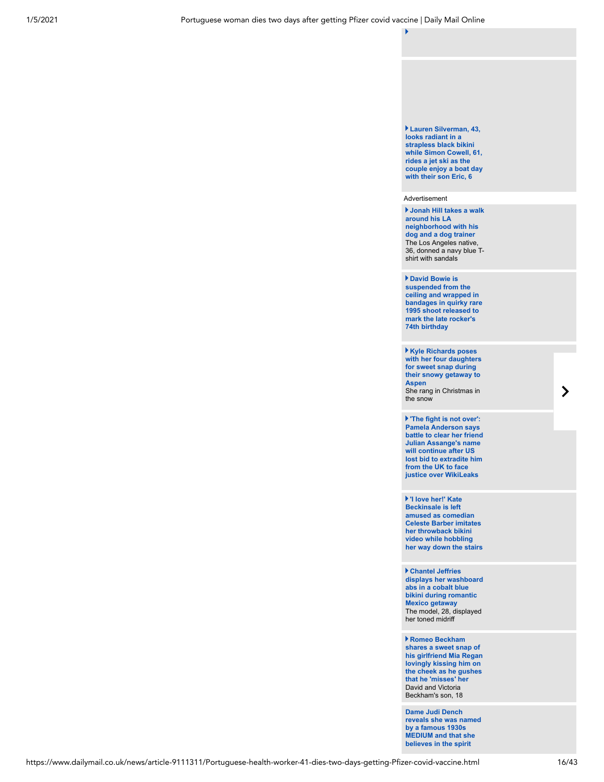#### **Lauren Silverman, 43, looks radiant in a strapless black bikini while Simon Cowell, 61, rides a jet ski as the [couple enjoy a boat day](https://www.dailymail.co.uk/tvshowbiz/article-9110619/Lauren-Silverman-looks-radiant-joins-Simon-Cowell-son-Eric-Barbados.html) with their son Eric, 6**

#### Advertisement

**Jonah Hill takes a walk around his LA neighborhood with his dog and a dog trainer** The Los Angeles native, [36, donned a navy blue T](https://www.dailymail.co.uk/tvshowbiz/article-9110061/Jonah-Hill-takes-walk-LA-neighborhood-dog-dog-trainer.html)shirt with sandals

#### **David Bowie is suspended from the ceiling and wrapped in [bandages in quirky rare](https://www.dailymail.co.uk/tvshowbiz/article-9111567/David-Bowie-suspended-ceiling-wrapped-bandages-rare-1995-shoot.html) 1995 shoot released to mark the late rocker's 74th birthday**

**Kyle Richards poses [with her four daughters](https://www.dailymail.co.uk/tvshowbiz/article-9111341/Kyle-Richards-shares-sweet-snaps-four-daughters-snowy-getaway-Aspen.html) for sweet snap during their snowy getaway to Aspen** She rang in Christmas in the snow

**'The fight is not over': Pamela Anderson says [battle to clear her friend](https://www.dailymail.co.uk/news/article-9112193/Pamela-Anderson-says-battle-clear-friend-Assanges-continue-judge-blocks-extradition.html) Julian Assange's name will continue after US lost bid to extradite him from the UK to face justice over WikiLeaks** 

**'I love her!' Kate Beckinsale is left amused as comedian Celeste Barber imitates her throwback bikini video while hobbling [her way down the stairs](https://www.dailymail.co.uk/tvshowbiz/article-9110563/Kate-Beckinsale-amused-comedian-Celeste-Barber-imitates-throwback-bikini-video.html)**

**Chantel Jeffries [displays her washboard](https://www.dailymail.co.uk/tvshowbiz/article-9110681/Chantel-Jeffries-displays-washboard-abs-cleavage-cobalt-blue-bikini.html) abs in a cobalt blue bikini during romantic Mexico getaway** The model, 28, displayed her toned midriff

**Romeo Beckham shares a sweet snap of [his girlfriend Mia Regan](https://www.dailymail.co.uk/tvshowbiz/article-9112311/Romeo-Beckham-gushes-misses-girlfriend-Mia-Regan-sweet-post.html) lovingly kissing him on the cheek as he gushes that he 'misses' her** David and Victoria Beckham's son, 18

**Dame Judi Dench [reveals she was named](https://www.dailymail.co.uk/tvshowbiz/article-9110557/Dame-Judi-Dench-reveals-named-famous-1930s-MEDIUM.html) by a famous 1930s MEDIUM and that she believes in the spirit**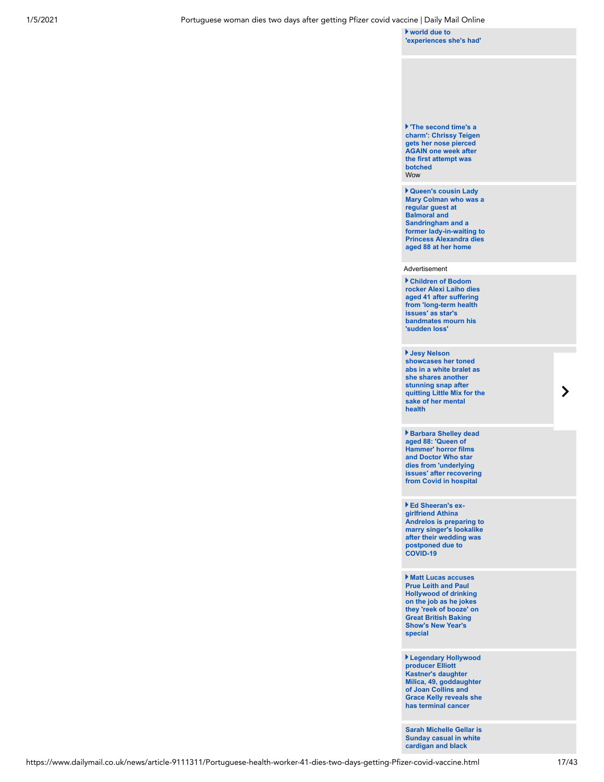**world due to ['experiences she's had'](https://www.dailymail.co.uk/tvshowbiz/article-9110557/Dame-Judi-Dench-reveals-named-famous-1930s-MEDIUM.html)**

#### **'The second time's a [charm': Chrissy Teigen](https://www.dailymail.co.uk/tvshowbiz/article-9110283/Chrissy-Teigen-unveils-nose-second-piercing-suffering-botched-job-December.html) gets her nose pierced AGAIN one week after the first attempt was botched Wow**

**Queen's cousin Lady Mary Colman who was a regular guest at Balmoral and Sandringham and a [former lady-in-waiting to](https://www.dailymail.co.uk/femail/article-9111343/Queens-cousin-Lady-Mary-Colman-dies-aged-88-Norfolk-home.html) Princess Alexandra dies aged 88 at her home**

#### Advertisement

**Children of Bodom [rocker Alexi Laiho dies](https://www.dailymail.co.uk/tvshowbiz/article-9110717/Children-Bodom-rocker-Alexi-Laiho-dies-aged-41.html) aged 41 after suffering from 'long-term health issues' as star's bandmates mourn his 'sudden loss'** 

**Jesy Nelson showcases her toned abs in a white bralet as she shares another stunning snap after [quitting Little Mix for the](https://www.dailymail.co.uk/tvshowbiz/article-9110873/Jesy-Nelson-shares-stunning-snap-quitting-Little-Mix-sake-mental-health.html) sake of her mental**

**health**

**Barbara Shelley dead aged 88: 'Queen of Hammer' horror films and Doctor Who star dies from 'underlying [issues' after recovering](https://www.dailymail.co.uk/news/article-9111023/Queen-Hammer-Horror-films-Barbara-Shelley-dead-88.html) from Covid in hospital**

**Ed Sheeran's exgirlfriend Athina [Andrelos is preparing to](https://www.dailymail.co.uk/tvshowbiz/article-9110845/Ed-Sheerans-ex-girlfriend-Athina-Andrelos-preparing-wed-singers-lookalike.html) marry singer's lookalike after their wedding was postponed due to COVID-19**

**Matt Lucas accuses Prue Leith and Paul Hollywood of drinking on the job as he jokes [they 'reek of booze' on](https://www.dailymail.co.uk/tvshowbiz/article-9108991/Matt-Lucas-accuses-Prue-Leith-Paul-Hollywood-drinking-job-Bake-Off.html) Great British Baking Show's New Year's special**

**Legendary Hollywood producer Elliott Kastner's daughter Milica, 49, goddaughter of Joan Collins and [Grace Kelly reveals she](https://www.dailymail.co.uk/femail/article-9110537/Joan-Collins-producer-goddaughter-reveals-shes-fighting-cancer.html) has terminal cancer**

**[Sarah Michelle Gellar is](https://www.dailymail.co.uk/tvshowbiz/article-9109815/Sarah-Michelle-Gellar-Sunday-casual-hits-gym-grabs-coffee-shops-LA.html) Sunday casual in white cardigan and black**

 $\blacktriangleright$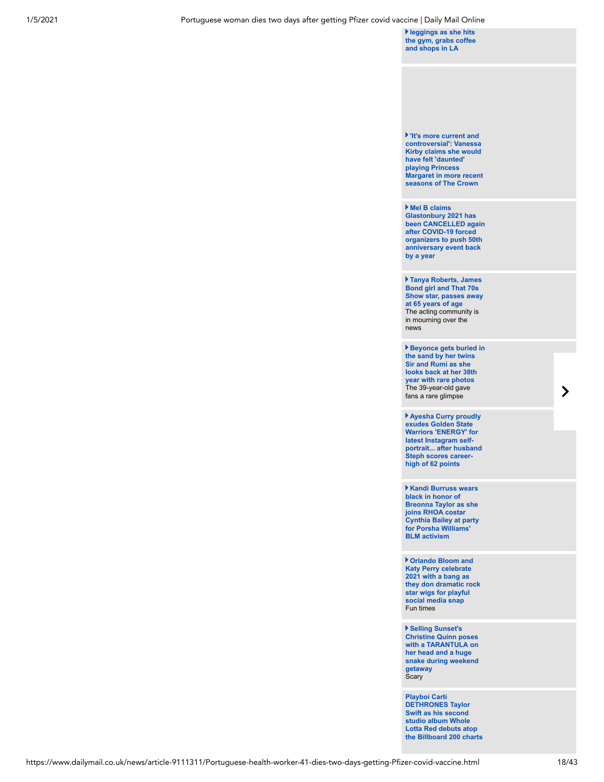**leggings as she hits [the gym, grabs coffee](https://www.dailymail.co.uk/tvshowbiz/article-9109815/Sarah-Michelle-Gellar-Sunday-casual-hits-gym-grabs-coffee-shops-LA.html) and shops in LA**

**'It's more current and controversial': Vanessa Kirby claims she would have felt 'daunted' playing Princess [Margaret in more recent](https://www.dailymail.co.uk/tvshowbiz/article-9110719/Vanessa-Kirby-claims-daunting-portraying-Princess-Margaret-recent-times.html) seasons of The Crown** 

**Mel B claims Glastonbury 2021 has [been CANCELLED again](https://www.dailymail.co.uk/tvshowbiz/article-9111731/Mel-B-claims-Glastonbury-2021-CANCELLED-COVID-19-crisis.html) after COVID-19 forced organizers to push 50th anniversary event back by a year** 

**Tanya Roberts, James Bond girl and That 70s [Show star, passes away](https://www.dailymail.co.uk/tvshowbiz/article-9109813/Tanya-Roberts-James-Bond-girl-70s-star-passes-away-65-years-age.html) at 65 years of age** The acting community is in mourning over the news

**[Beyonce gets buried in](https://www.dailymail.co.uk/tvshowbiz/article-9109707/Beyonce-gets-buried-sand-twins-Sir-Rumi-looks-38th-year.html) the sand by her twins Sir and Rumi as she looks back at her 38th year with rare photos** The 39-year-old gave fans a rare glimpse

**Ayesha Curry proudly exudes Golden State Warriors 'ENERGY' for latest Instagram self[portrait... after husband](https://www.dailymail.co.uk/tvshowbiz/article-9110219/Ayesha-Curry-shares-post-game-self-portrait-husband-Steph-scores-career-high-62-points.html) Steph scores careerhigh of 62 points**

**Kandi Burruss wears black in honor of Breonna Taylor as she joins RHOA costar [Cynthia Bailey at party](https://www.dailymail.co.uk/tvshowbiz/article-9110139/Kandi-Burruss-wears-black-honor-Breonna-Taylor-RHOA-costar-Cynthia-Bailey-BLM-event.html) for Porsha Williams' BLM activism**

**Orlando Bloom and Katy Perry celebrate 2021 with a bang as [they don dramatic rock](https://www.dailymail.co.uk/tvshowbiz/article-9108425/Orlando-Bloom-Katy-Perry-don-dramatic-rock-star-wigs-playful-social-media-snap.html) star wigs for playful social media snap** Fun times

**Selling Sunset's Christine Quinn poses with a TARANTULA on her head and a huge [snake during weekend](https://www.dailymail.co.uk/tvshowbiz/article-9110555/Christine-Quinn-poses-TARANTULA-head-huge-snake-weekend-getaway.html) getaway** Scary

**Playboi Carti DETHRONES Taylor Swift as his second studio album Whole Lotta Red debuts atop [the Billboard 200 charts](https://www.dailymail.co.uk/tvshowbiz/article-9110009/Playboi-Cartis-second-studio-album-Lotta-Red-debuts-atop-Billboard-200-album-charts.html)**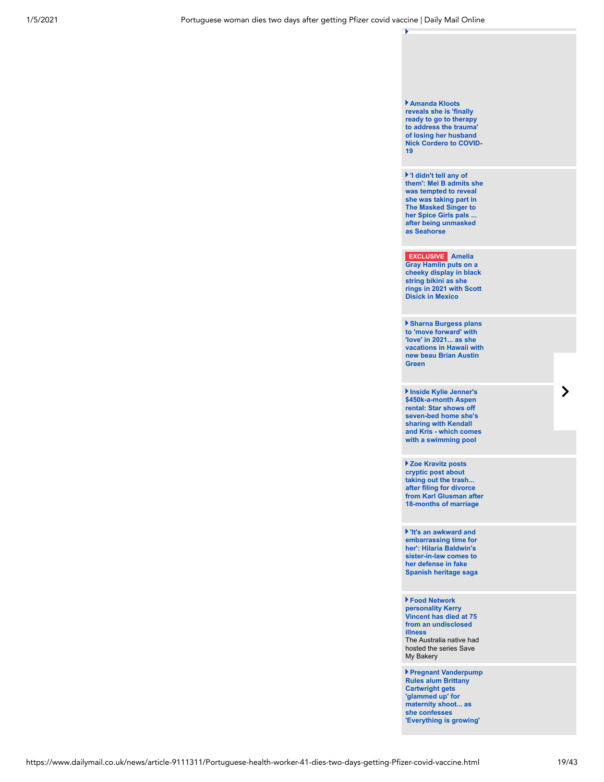#### **Amanda Kloots reveals she is 'finally ready to go to therapy to address the trauma' of losing her husband [Nick Cordero to COVID-](https://www.dailymail.co.uk/tvshowbiz/article-9109425/Amanda-Kloots-reveals-finally-ready-therapy-months-Nick-Corderos-death.html)19**

**'I didn't tell any of [them': Mel B admits she](https://www.dailymail.co.uk/tvshowbiz/article-9108167/Mel-B-tempted-reveal-taking-Masked-Singer-Spice-Girls-bandmates.html) was tempted to reveal she was taking part in The Masked Singer to her Spice Girls pals ... after being unmasked as Seahorse**

**EXCLUSIVE Amelia Gray Hamlin puts on a cheeky display in black string bikini as she [rings in 2021 with Scott](https://www.dailymail.co.uk/tvshowbiz/article-9109183/Amelia-Gray-Hamlin-puts-cheeky-display-black-string-bikini-vacation-Scott-Disick.html) Disick in Mexico**

**Sharna Burgess plans to 'move forward' with 'love' in 2021... as she [vacations in Hawaii with](https://www.dailymail.co.uk/tvshowbiz/article-9109605/Sharna-Burgess-plans-forward-love-2021-vacations-Brian-Austin-Green.html) new beau Brian Austin Green**

**Inside Kylie Jenner's \$450k-a-month Aspen rental: Star shows off seven-bed home she's sharing with Kendall [and Kris - which comes](https://www.dailymail.co.uk/tvshowbiz/article-9109321/Kylie-Jenner-shares-view-Aspen-home-shes-renting-Kendall-Kris-450K-MONTH.html) with a swimming pool**

**Zoe Kravitz posts cryptic post about taking out the trash... after filing for divorce [from Karl Glusman after](https://www.dailymail.co.uk/tvshowbiz/article-9108945/Zoe-Kravitz-posts-cryptic-meme-taking-trash-filing-divorce-Karl-Glusman.html) 18-months of marriage**

**'It's an awkward and embarrassing time for her': Hilaria Baldwin's sister-in-law comes to her defense in fake [Spanish heritage saga](https://www.dailymail.co.uk/news/article-9108297/Chynna-Phillips-defends-sister-law-Hilaria-Baldwin-fake-Spanish-roots-controversey.html)**

**Food Network personality Kerry Vincent has died at 75 from an undisclosed illness** [The Australia native had](https://www.dailymail.co.uk/tvshowbiz/article-9109471/Food-Network-personality-Kerry-Vincent-died-75-undisclosed-illness.html)

hosted the series Save My Bakery

**Pregnant Vanderpump Rules alum Brittany Cartwright gets 'glammed up' for maternity shoot... as she confesses ['Everything is growing'](https://www.dailymail.co.uk/tvshowbiz/article-9108697/Pregnant-Vanderpump-Rules-alum-Brittany-Cartwright-gets-glammed-maternity-shoot.html)**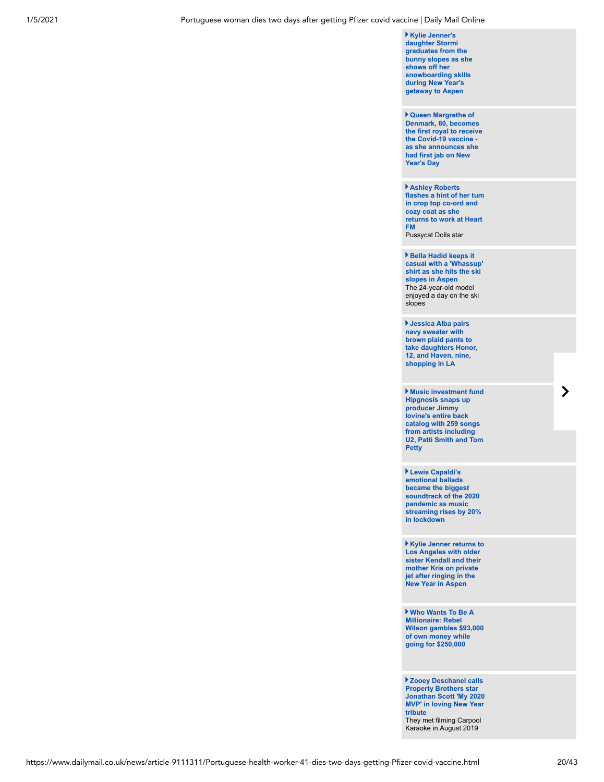**Kylie Jenner's daughter Stormi graduates from the [bunny slopes as she](https://www.dailymail.co.uk/tvshowbiz/article-9109625/Kylie-Jenners-daughter-Stormi-graduates-bunny-slopes-snowboards-getaway-Aspen.html) shows off her snowboarding skills during New Year's getaway to Aspen** 

**Queen Margrethe of Denmark, 80, becomes [the first royal to receive](https://www.dailymail.co.uk/femail/article-9108063/Queen-Margrethe-Denmark-80-royal-receive-Covid-19-vaccine.html) the Covid-19 vaccine as she announces she had first jab on New Year's Day**

**Ashley Roberts [flashes a hint of her tum](https://www.dailymail.co.uk/tvshowbiz/article-9110743/Ashley-Roberts-flashes-hint-tum-crop-ord-Heart-FM.html) in crop top co-ord and cozy coat as she returns to work at Heart FM** 

Pussycat Dolls star

**Bella Hadid keeps it [casual with a 'Whassup'](https://www.dailymail.co.uk/tvshowbiz/article-9110037/Bella-Hadid-keeps-casual-Whassup-shirt-hits-ski-slopes-Aspen.html) shirt as she hits the ski slopes in Aspen** The 24-year-old model enjoyed a day on the ski slopes

**Jessica Alba pairs navy sweater with brown plaid pants to [take daughters Honor,](https://www.dailymail.co.uk/tvshowbiz/article-9110165/Jessica-Alba-pairs-navy-sweater-brown-plaid-pants-daughters-Honor-Haven-shopping.html) 12, and Haven, nine, shopping in LA**

**Music investment fund Hipgnosis snaps up producer Jimmy Iovine's entire back catalog with 259 songs from artists including [U2, Patti Smith and Tom](https://www.dailymail.co.uk/money/markets/article-9110855/Music-investment-fund-Hipgnosis-snaps-producer-Jimmy-Iovines-entire-catalogue.html) Petty**

**Lewis Capaldi's emotional ballads became the biggest soundtrack of the 2020 pandemic as music [streaming rises by 20%](https://www.dailymail.co.uk/tvshowbiz/article-9110361/Lewis-Capaldi-emotional-ballads-biggest-soundtrack-2020-pandemic.html) in lockdown**

**Kylie Jenner returns to Los Angeles with older [sister Kendall and their](https://www.dailymail.co.uk/tvshowbiz/article-9110083/Kylie-Jenner-returns-LA-sister-Kendall-mom-Kris-private-jet-vacation-Aspen.html) mother Kris on private jet after ringing in the New Year in Aspen**

**Who Wants To Be A Millionaire: Rebel [Wilson gambles \\$93,000](https://www.dailymail.co.uk/tvshowbiz/article-9109949/Who-Wants-Millionaire-Rebel-Wilson-gambles-93-000-money-going-250-000.html) of own money while going for \$250,000**

**Zooey Deschanel calls Property Brothers star [Jonathan Scott 'My 2020](https://www.dailymail.co.uk/tvshowbiz/article-9110135/Zooey-Deschanel-calls-Property-Brothers-star-Jonathan-Scott-2020-MVP-loving-New-Year-tribute.html) MVP' in loving New Year tribute** They met filming Carpool Karaoke in August 2019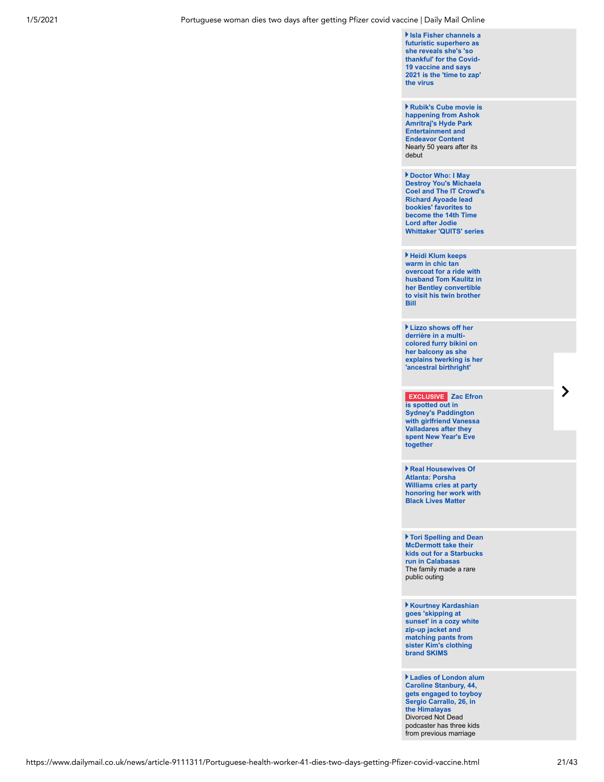**Isla Fisher channels a futuristic superhero as she reveals she's 'so thankful' for the Covid-19 vaccine and says [2021 is the 'time to zap'](https://www.dailymail.co.uk/tvshowbiz/article-9109867/Isla-Fisher-reveals-shes-thankful-Covid-19-vaccine.html) the virus**

**Rubik's Cube movie is [happening from Ashok](https://www.dailymail.co.uk/tvshowbiz/article-9110243/Rubiks-Cube-movie-happening-Ashok-Amritrajs-Hyde-Park-Entertainment-Endeavor-Content.html) Amritraj's Hyde Park Entertainment and Endeavor Content** Nearly 50 years after its debut

**Doctor Who: I May Destroy You's Michaela [Coel and The IT Crowd's](https://www.dailymail.co.uk/tvshowbiz/article-9111371/Doctor-Chewing-Gums-Michaela-Coel-Richard-Ayoade-lead-bookies-favourites.html) Richard Ayoade lead bookies' favorites to become the 14th Time Lord after Jodie Whittaker 'QUITS' series**

**Heidi Klum keeps warm in chic tan overcoat for a ride with [husband Tom Kaulitz in](https://www.dailymail.co.uk/tvshowbiz/article-9109983/Heidi-Klum-keeps-warm-tan-overcoat-ride-husband-Tom-Kaulitz-Bentley-convertible.html) her Bentley convertible to visit his twin brother Bill**

**Lizzo shows off her derrière in a multicolored furry bikini on her balcony as she [explains twerking is her](https://www.dailymail.co.uk/tvshowbiz/article-9109057/Lizzo-shows-derri-multi-colored-furry-bikini-twerks-away.html) 'ancestral birthright'**

**EXCLUSIVE Zac Efron is spotted out in Sydney's Paddington [with girlfriend Vanessa](https://www.dailymail.co.uk/tvshowbiz/article-9110057/Zac-Efron-spotted-Sydneys-Paddington-girlfriend-Vanessa-Valladares.html) Valladares after they spent New Year's Eve together**

**Real Housewives Of Atlanta: Porsha Williams cries at party [honoring her work with](https://www.dailymail.co.uk/tvshowbiz/article-9109829/Real-Housewives-Atlanta-Porsha-Williams-cries-party-honoring-work-Black-Lives-Matter.html) Black Lives Matter**

**Tori Spelling and Dean McDermott take their [kids out for a Starbucks](https://www.dailymail.co.uk/tvshowbiz/article-9110131/Tori-Spelling-Dean-McDermott-kids-Starbucks-run-Calabasas.html) run in Calabasas** The family made a rare public outing

**Kourtney Kardashian goes 'skipping at [sunset' in a cozy white](https://www.dailymail.co.uk/tvshowbiz/article-9109835/Kourtney-Kardashian-goes-skipping-sunset-cozy-SKIMS-zip-jacket-matching-pants.html) zip-up jacket and matching pants from sister Kim's clothing brand SKIMS**

**Ladies of London alum Caroline Stanbury, 44, [gets engaged to toyboy](https://www.dailymail.co.uk/tvshowbiz/article-9108863/Ladies-London-alum-Caroline-Stanbury-gets-engaged-toyboy-Sergio-Carrallo-Himalayas.html) Sergio Carrallo, 26, in the Himalayas** Divorced Not Dead podcaster has three kids from previous marriage

 $\blacktriangleright$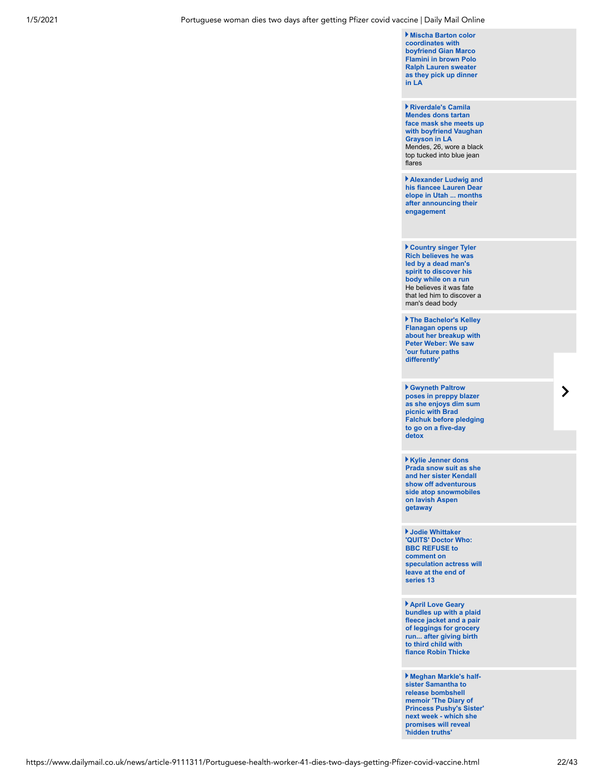**Mischa Barton color coordinates with boyfriend Gian Marco Flamini in brown Polo Ralph Lauren sweater [as they pick up dinner](https://www.dailymail.co.uk/tvshowbiz/article-9109859/Mischa-Barton-color-coordinates-boyfriend-Gian-Marco-Flamini-brown-sweater-LA.html) in LA**

**Riverdale's Camila Mendes dons tartan [face mask she meets up](https://www.dailymail.co.uk/tvshowbiz/article-9109913/Riverdales-Camila-Mendes-dons-tartan-face-mask-meets-boyfriend-Vaughan-Grayson-LA.html) with boyfriend Vaughan Grayson in LA** Mendes, 26, wore a black top tucked into blue jean flares

**Alexander Ludwig and [his fiancee Lauren Dear](https://www.dailymail.co.uk/tvshowbiz/article-9110003/Alexander-Ludwig-fiancee-Lauren-Dear-elope-Utah-months-announcing-engagement.html) elope in Utah ... months after announcing their engagement**

**Country singer Tyler Rich believes he was led by a dead man's spirit to discover his body while on a run** He believes it was fate [that led him to discover a](https://www.dailymail.co.uk/tvshowbiz/article-9109869/Country-singer-Tyler-Rich-believes-led-discover-dead-body-run.html) man's dead body

**The Bachelor's Kelley Flanagan opens up [about her breakup with](https://www.dailymail.co.uk/tvshowbiz/article-9109851/The-Bachelors-Kelley-Flanagan-opens-breakup-Peter-Weber.html) Peter Weber: We saw 'our future paths differently'**

**Gwyneth Paltrow poses in preppy blazer as she enjoys dim sum picnic with Brad [Falchuk before pledging](https://www.dailymail.co.uk/tvshowbiz/article-9109387/Gwyneth-Paltrow-poses-preppy-blazer-enjoys-dim-sum-picnic-Brad-Falchuk.html) to go on a five-day detox**

**Kylie Jenner dons [Prada snow suit as she](https://www.dailymail.co.uk/tvshowbiz/article-9109667/Kylie-Jenner-sister-Kendall-adventurous-snowmobiling-Aspen.html) and her sister Kendall show off adventurous side atop snowmobiles on lavish Aspen getaway**

**Jodie Whittaker 'QUITS' Doctor Who: BBC REFUSE to comment on [speculation actress will](https://www.dailymail.co.uk/tvshowbiz/article-9110085/The-BBC-responds-report-Dr-star-Jodie-Whittaker-leaving-series-13.html) leave at the end of series 13**

**April Love Geary [bundles up with a plaid](https://www.dailymail.co.uk/tvshowbiz/article-9109663/April-Love-Geary-bundles-plaid-fleece-jacket-pair-leggings-grocery-run.html) fleece jacket and a pair of leggings for grocery run... after giving birth to third child with fiance Robin Thicke**

**Meghan Markle's halfsister Samantha to release bombshell memoir 'The Diary of [Princess Pushy's Sister'](https://www.dailymail.co.uk/femail/article-9108121/Meghan-Markles-half-sister-Samantha-finally-release-bombshell-memoir.html) next week - which she promises will reveal 'hidden truths'**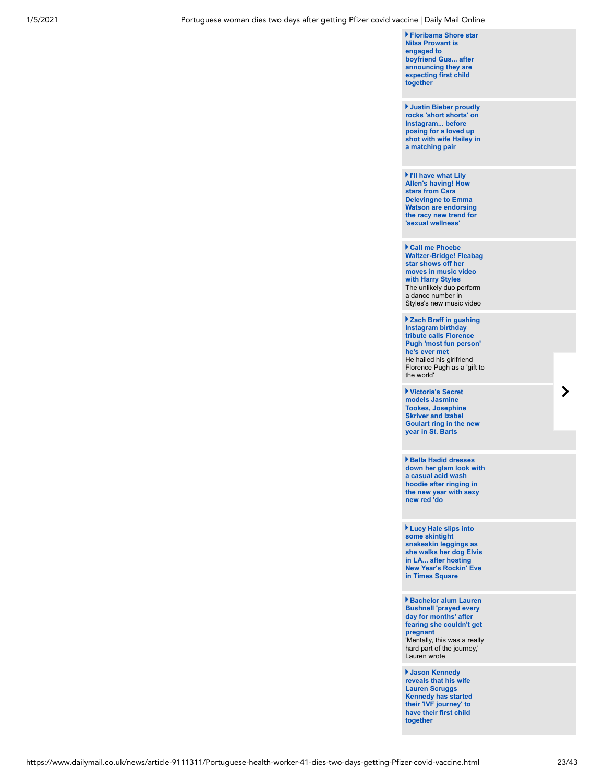**Floribama Shore star Nilsa Prowant is engaged to [boyfriend Gus... after](https://www.dailymail.co.uk/tvshowbiz/article-9109559/Floribama-Shore-star-Nilsa-Prowant-engaged-boyfriend-Gus-announcing-pregnancy.html) announcing they are expecting first child together**

**Justin Bieber proudly rocks 'short shorts' on Instagram... before posing for a loved up [shot with wife Hailey in](https://www.dailymail.co.uk/tvshowbiz/article-9109389/Justin-Bieber-rocks-short-shorts-Instagram-posing-wife-Hailey-matching-pair.html) a matching pair** 

**I'll have what Lily Allen's having! How stars from Cara Delevingne to Emma [Watson are endorsing](https://www.dailymail.co.uk/femail/article-9108761/How-stars-Cara-Delevingne-Emma-Watson-endorsing-racy-new-trend-sexual-wellness.html) the racy new trend for 'sexual wellness'**

**Call me Phoebe [Waltzer-Bridge! Fleabag](https://www.dailymail.co.uk/tvshowbiz/article-9109651/Call-Phoebe-Waltzer-Bridge-Fleabag-star-shows-moves-music-video-Harry-Styles.html) star shows off her moves in music video with Harry Styles**  The unlikely duo perform a dance number in Styles's new music video

**Zach Braff in gushing Instagram birthday tribute calls Florence Pugh 'most fun person' he's ever met** He hailed his girlfriend [Florence Pugh as a 'gift to](https://www.dailymail.co.uk/tvshowbiz/article-9109537/Zach-Braff-gushing-Instagram-birthday-tribute-calls-Florence-Pugh-fun-person-hes-met.html) the world'

**Victoria's Secret models Jasmine Tookes, Josephine Skriver and Izabel [Goulart ring in the new](https://www.dailymail.co.uk/tvshowbiz/article-9109575/Jasmine-Tookes-Josephine-Skriver-Izabel-Goulart-ring-new-year-St-Barts.html) year in St. Barts**

**Bella Hadid dresses [down her glam look with](https://www.dailymail.co.uk/tvshowbiz/article-9109353/Bella-Hadid-dresses-glam-look-acid-wash-hoodie-ringing-new-year-new-red-do.html) a casual acid wash hoodie after ringing in the new year with sexy new red 'do**

**Lucy Hale slips into some skintight snakeskin leggings as [she walks her dog Elvis](https://www.dailymail.co.uk/tvshowbiz/article-9109523/Lucy-Hale-slips-skintight-snakeskin-leggings-walks-dog-Elvis-LA.html) in LA... after hosting New Year's Rockin' Eve in Times Square**

**Bachelor alum Lauren Bushnell 'prayed every day for months' after fearing she couldn't get pregnant** ['Mentally, this was a really](https://www.dailymail.co.uk/tvshowbiz/article-9109721/Bachelor-alum-Lauren-Bushnell-prayed-day-months-fearing-pregnant.html) hard part of the journey,' Lauren wrote

**Jason Kennedy reveals that his wife Lauren Scruggs [Kennedy has started](https://www.dailymail.co.uk/tvshowbiz/article-9109657/Jason-Kennedy-reveals-wife-Lauren-Scruggs-Kennedy-started-IVF-journey.html) their 'IVF journey' to have their first child together**

https://www.dailymail.co.uk/news/article-9111311/Portuguese-health-worker-41-dies-two-days-getting-Pfizer-covid-vaccine.html 23/43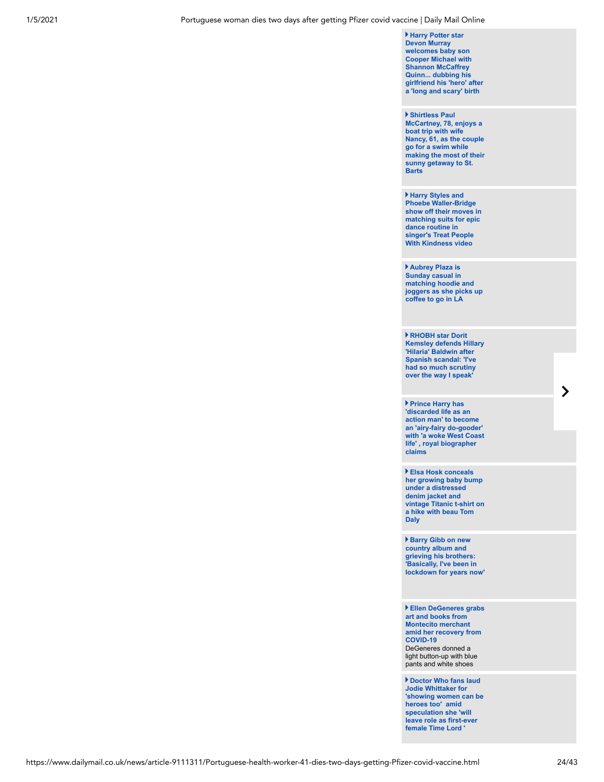**Harry Potter star Devon Murray welcomes baby son Cooper Michael with Shannon McCaffrey Quinn... dubbing his [girlfriend his 'hero' after](https://www.dailymail.co.uk/tvshowbiz/article-9109639/Harry-Potters-Devon-Murray-welcomes-baby-son-Cooper-Michael-girlfriend-Shannon-McCaffrey-Quinn.html) a 'long and scary' birth**

#### **Shirtless Paul**

**McCartney, 78, enjoys a boat trip with wife Nancy, 61, as the couple go for a swim while [making the most of their](https://www.dailymail.co.uk/tvshowbiz/article-9108437/Shirtless-Paul-McCartney-78-enjoys-boat-trip-wife-Nancy-61-St-Barts.html) sunny getaway to St. Barts**

**Harry Styles and Phoebe Waller-Bridge [show off their moves in](https://www.dailymail.co.uk/tvshowbiz/article-9104749/Harry-Styles-Phoebe-Waller-Bridge-dance-moves-Treat-People-Kindness-video.html) matching suits for epic dance routine in singer's Treat People With Kindness video**

**Aubrey Plaza is Sunday casual in matching hoodie and [joggers as she picks up](https://www.dailymail.co.uk/tvshowbiz/article-9109551/Aubrey-Plaza-Sunday-casual-matching-hoodie-joggers-picks-coffee-LA.html) coffee to go in LA**

**RHOBH star Dorit [Kemsley defends Hillary](https://www.dailymail.co.uk/tvshowbiz/article-9109329/RHOBH-star-Dorit-Kemsley-defends-Hillary-Hilaria-Baldwin-Spanish-scandal.html) 'Hilaria' Baldwin after Spanish scandal: 'I've had so much scrutiny over the way I speak'**

**Prince Harry has 'discarded life as an action man' to become an 'airy-fairy do-gooder' [with 'a woke West Coast](https://www.dailymail.co.uk/femail/article-9108011/Angela-Levin-says-Duke-Sussex-shadow-prince-knew.html) life' , royal biographer claims** 

**Elsa Hosk conceals her growing baby bump under a distressed denim jacket and [vintage Titanic t-shirt on](https://www.dailymail.co.uk/tvshowbiz/article-9108873/Elsa-Hosk-conceals-growing-baby-bump-vintage-Titanic-t-shirt-hike-LA.html) a hike with beau Tom Daly** 

**Barry Gibb on new country album and grieving his brothers: 'Basically, I've been in [lockdown for years now'](https://www.dailymail.co.uk/tvshowbiz/article-9109107/Barry-Gibb-new-country-album-grieving-brothers-Ive-lockdown-years-now.html)**

**Ellen DeGeneres grabs art and books from Montecito merchant [amid her recovery from](https://www.dailymail.co.uk/tvshowbiz/article-9109271/Ellen-DeGeneres-grabs-art-books-Montecito-merchant-amid-recovery-COVID-19.html) COVID-19** DeGeneres donned a light button-up with blue pants and white shoes

**Doctor Who fans laud Jodie Whittaker for ['showing women can be](https://www.dailymail.co.uk/tvshowbiz/article-9109235/Jodie-Whittaker-QUITS-Doctor-3-years-sci-fi-show.html) heroes too' amid speculation she 'will leave role as first-ever female Time Lord '**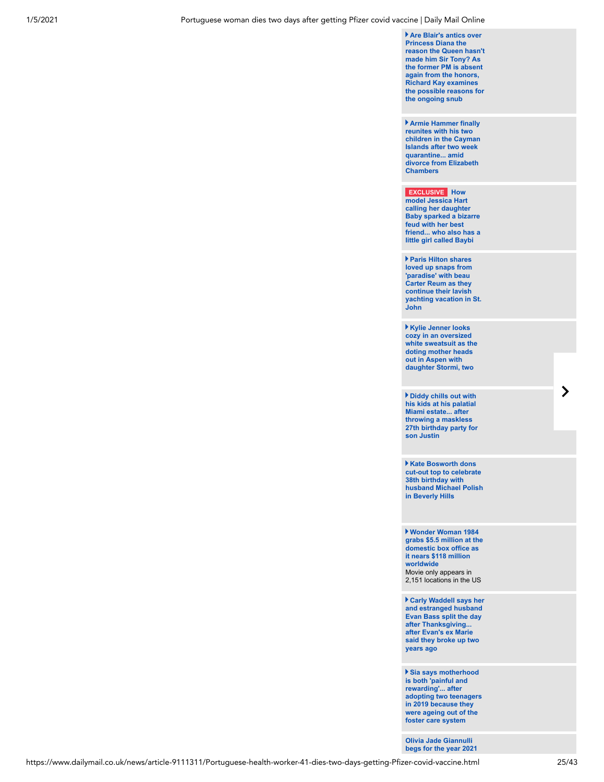**Are Blair's antics over Princess Diana the [reason the Queen hasn't](https://www.dailymail.co.uk/news/article-9109081/Are-Blairs-antics-Princess-Diana-reason-Queen-Sir-Tony.html) made him Sir Tony? As the former PM is absent again from the honors, Richard Kay examines the possible reasons for the ongoing snub**

**Armie Hammer finally reunites with his two [children in the Cayman](https://www.dailymail.co.uk/tvshowbiz/article-9108781/Armie-Hammer-reunites-kids-Cayman-Islands-14-day-quarantine-amid-divorce.html) Islands after two week quarantine... amid divorce from Elizabeth Chambers**

## **EXCLUSIVE How**

**model Jessica Hart calling her daughter Baby sparked a bizarre feud with her best [friend... who also has a](https://www.dailymail.co.uk/tvshowbiz/article-9107317/Jessica-Hart-sparks-feud-friend-calling-daughter-Baby.html) little girl called Baybi**

**Paris Hilton shares loved up snaps from 'paradise' with beau Carter Reum as they continue their lavish [yachting vacation in St.](https://www.dailymail.co.uk/tvshowbiz/article-9108815/Paris-Hilton-shares-loved-snaps-beau-Carter-Reum-yachting-vacation-St-John.html) John**

**Kylie Jenner looks cozy in an oversized [white sweatsuit as the](https://www.dailymail.co.uk/tvshowbiz/article-9108659/Kylie-Jenner-rocks-oversized-white-sweatsuit-daughter-Stormi-two-arms-Aspen.html) doting mother heads out in Aspen with daughter Stormi, two**

**Diddy chills out with his kids at his palatial Miami estate... after throwing a maskless [27th birthday party for](https://www.dailymail.co.uk/tvshowbiz/article-9108565/Diddy-activates-dad-mode-hangs-kids-palatial-Miami-estate.html) son Justin**

**Kate Bosworth dons cut-out top to celebrate 38th birthday with [husband Michael Polish](https://www.dailymail.co.uk/tvshowbiz/article-9108695/Kate-Bosworth-dons-cut-celebrate-38th-birthday-husband-Michael-Polish-LA.html) in Beverly Hills**

**Wonder Woman 1984 [grabs \\$5.5 million at the](https://www.dailymail.co.uk/tvshowbiz/article-9108799/Box-Office-Wonder-Woman-1984-Grabs-5-5-Million-Domestically-Global-Total-Tops-118-Million.html) domestic box office as it nears \$118 million worldwide** Movie only appears in 2,151 locations in the US

**Carly Waddell says her [and estranged husband](https://www.dailymail.co.uk/tvshowbiz/article-9109403/Carly-Waddell-says-estranged-husband-Evan-Bass-split-day-Thanksgiving.html) Evan Bass split the day after Thanksgiving... after Evan's ex Marie said they broke up two years ago**

**Sia says motherhood is both 'painful and rewarding'... after [adopting two teenagers](https://www.dailymail.co.uk/tvshowbiz/article-9108965/Sia-admits-motherhood-painful-rewarding-adopting-teens.html) in 2019 because they were ageing out of the foster care system**

**Olivia Jade Giannulli [begs for the year 2021](https://www.dailymail.co.uk/tvshowbiz/article-9107795/Olivia-Jade-begs-2021-just-vibes-good-following-mom-Lori-Loughlins-prison-stint.html)**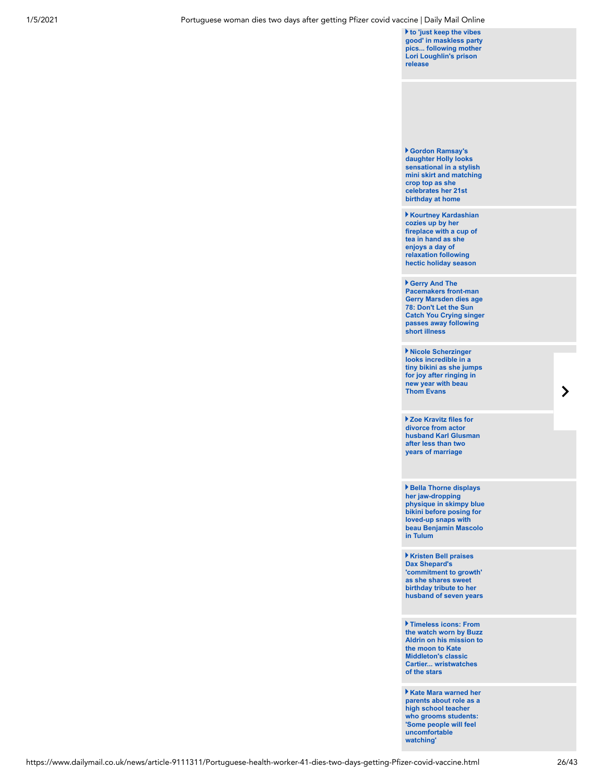**to 'just keep the vibes [good' in maskless party](https://www.dailymail.co.uk/tvshowbiz/article-9107795/Olivia-Jade-begs-2021-just-vibes-good-following-mom-Lori-Loughlins-prison-stint.html) pics... following mother Lori Loughlin's prison release**

**Gordon Ramsay's daughter Holly looks sensational in a stylish [mini skirt and matching](https://www.dailymail.co.uk/tvshowbiz/article-9108933/Gordon-Ramsays-daughter-Holly-wows-knitted-mini-skirt-celebrates-21st-birthday.html) crop top as she celebrates her 21st birthday at home**

**Kourtney Kardashian cozies up by her [fireplace with a cup of](https://www.dailymail.co.uk/tvshowbiz/article-9107947/Kourtney-Kardashian-cozies-fireplace-cup-tea-hand-Instagram.html) tea in hand as she enjoys a day of relaxation following hectic holiday season**

**Gerry And The Pacemakers front-man Gerry Marsden dies age 78: Don't Let the Sun [Catch You Crying singer](https://www.dailymail.co.uk/tvshowbiz/article-9108661/Gerry-Marsden-dies-age-78-Youll-Never-Walk-singer-passes-away-following-short-illness.html) passes away following short illness**

**Nicole Scherzinger looks incredible in a [tiny bikini as she jumps](https://www.dailymail.co.uk/tvshowbiz/article-9107983/Nicole-Scherzinger-radiates-happiness-jumps-New-Years-snap-sea.html) for joy after ringing in new year with beau Thom Evans**

**Zoe Kravitz files for divorce from actor [husband Karl Glusman](https://www.dailymail.co.uk/tvshowbiz/article-9107727/Zoe-Kravitz-files-divorce-actor-husband-Karl-Glusman-two-years-marriage.html) after less than two years of marriage**

**Bella Thorne displays her jaw-dropping [physique in skimpy blue](https://www.dailymail.co.uk/tvshowbiz/article-9108151/Bella-Thorne-wears-skimpy-blue-bikini-posing-snaps-beau-Benjamin-Mascolo.html) bikini before posing for loved-up snaps with beau Benjamin Mascolo in Tulum**

**Kristen Bell praises Dax Shepard's 'commitment to growth' as she shares sweet birthday tribute to her [husband of seven years](https://www.dailymail.co.uk/tvshowbiz/article-9108585/Kristen-Bell-praises-Dax-Shepards-commitment-growth-shares-sweet-birthday-tribute.html)**

**Timeless icons: From the watch worn by Buzz [Aldrin on his mission to](https://www.dailymail.co.uk/news/article-6452171/The-fascinating-stories-watches-iconic-people-history.html) the moon to Kate Middleton's classic Cartier... wristwatches of the stars** 

**Kate Mara warned her [parents about role as a](https://www.dailymail.co.uk/tvshowbiz/article-9108099/Kate-Mara-reveals-warned-parents-latest-role-high-school-teacher-grooms-pupil.html) high school teacher who grooms students: 'Some people will feel uncomfortable watching'**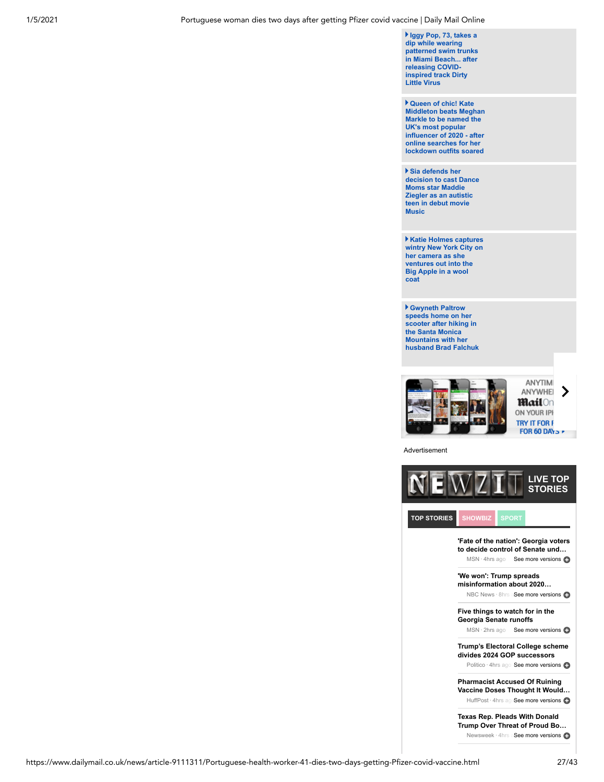**Iggy Pop, 73, takes a dip while wearing [patterned swim trunks](https://www.dailymail.co.uk/tvshowbiz/article-9108579/Iggy-Pop-73-takes-dip-Miami-Beach-releasing-COVID-inspired-track-Dirty-Little-Virus.html) in Miami Beach... after releasing COVIDinspired track Dirty Little Virus**

**Queen of chic! Kate [Middleton beats Meghan](https://www.dailymail.co.uk/femail/article-9104493/Kate-Middleton-biggest-fashion-influencer-year.html) Markle to be named the UK's most popular influencer of 2020 - after online searches for her lockdown outfits soared**

**Sia defends her [decision to cast Dance](https://www.dailymail.co.uk/tvshowbiz/article-9108355/Sia-defends-decision-cast-Dance-Moms-Maddie-Ziegler-autistic-teen-debut-movie.html) Moms star Maddie Ziegler as an autistic teen in debut movie Music**

**Katie Holmes captures [wintry New York City on](https://www.dailymail.co.uk/tvshowbiz/article-9107227/Katie-Holmes-captures-wintry-New-York-City-camera.html) her camera as she ventures out into the Big Apple in a wool coat** 

**Gwyneth Paltrow speeds home on her scooter after hiking in the Santa Monica Mountains with her [husband Brad Falchuk](https://www.dailymail.co.uk/tvshowbiz/article-9107575/Gwyneth-Paltrow-speeds-home-scooter-hiking-mountains-husband-Brad-Falchuk.html)**



Advertisement



Newsweek · 4hrs aSee more versions

https://www.dailymail.co.uk/news/article-9111311/Portuguese-health-worker-41-dies-two-days-getting-Pfizer-covid-vaccine.html 27/43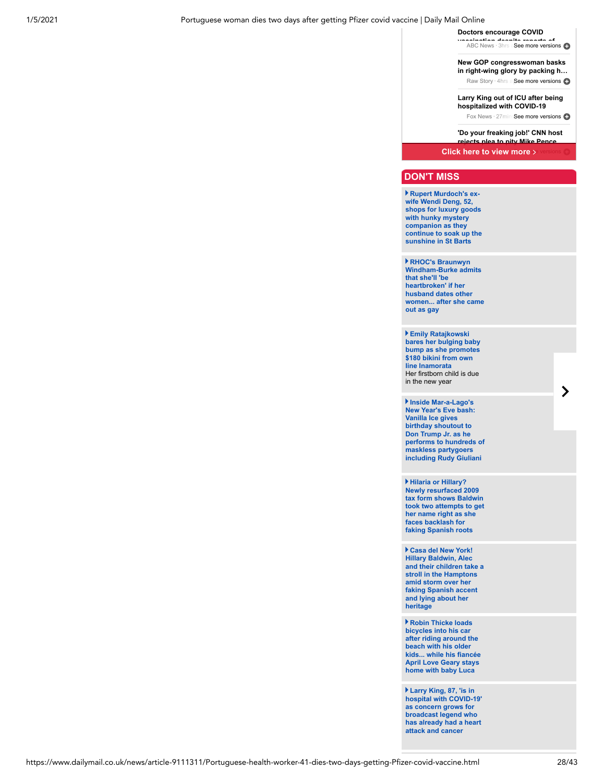#### 1/5/2021 Portuguese woman dies two days after getting Pfizer covid vaccine | Daily Mail Online

**Doctors encourage COVID**

**Animation despite reports of**<br>ABC News · 3hrs a **See more versions** 

**New GOP congresswoman basks [in right-wing glory by packing h…](https://www.newzit.com/?ito=Mail-Top-Stories&referringDomain=www.dailymail.co.uk&referringURL=https%3A%2F%2Fwww.dailymail.co.uk%2Fnews%2Farticle-9111311%2FPortuguese-health-worker-41-dies-two-days-getting-Pfizer-covid-vaccine.html&fromXPTS=1609853180174)** Raw Story · 4hrs a See more versions

**Larry King out of ICU after being hospitalized with COVID-19**

Fox News · 27minsSee more versions

**'Do your freaking job!' CNN host rejects plea to pity Mike Pence…**

**Click here to view more >** 

## **DON'T MISS**

**Rupert Murdoch's exwife Wendi Deng, 52, shops for luxury goods with hunky mystery companion as they [continue to soak up the](https://www.dailymail.co.uk/tvshowbiz/article-9108315/Rupert-Murdochs-ex-Wendi-Deng-52-goes-shopping-hunky-mystery-companion-St-Barts.html) sunshine in St Barts**

**RHOC's Braunwyn Windham-Burke admits that she'll 'be heartbroken' if her husband dates other [women... after she came](https://www.dailymail.co.uk/tvshowbiz/article-9107671/RHOCs-Braunwyn-Windham-Burke-admits-shell-heartbroken-husband-dates-women.html) out as gay**

**Emily Ratajkowski [bares her bulging baby](https://www.dailymail.co.uk/tvshowbiz/article-9107407/Emily-Ratajkowski-bares-bulging-baby-bump-promotes-180-bikini-line-Inamorata.html) bump as she promotes \$180 bikini from own line Inamorata** Her firstborn child is due in the new year

**Inside Mar-a-Lago's New Year's Eve bash: Vanilla Ice gives birthday shoutout to Don Trump Jr. as he [performs to hundreds of](https://www.dailymail.co.uk/news/article-9106973/Vanilla-Ice-performs-hundreds-maskless-partygoers-Mar-Lagos-New-Years-Eve-bash.html) maskless partygoers including Rudy Giuliani**

**Hilaria or Hillary? Newly resurfaced 2009 tax form shows Baldwin [took two attempts to get](https://www.dailymail.co.uk/news/article-9106925/Hilaria-Hillary-Newly-resurfaced-2009-tax-form-shows-Baldwin-took-two-attempts-right.html) her name right as she faces backlash for faking Spanish roots** 

**Casa del New York! Hillary Baldwin, Alec [and their children take a](https://www.dailymail.co.uk/news/article-9106777/Hilaria-Baldwin-takes-stroll-Hamptons-kids-amid-ongoing-Spanish-heritage-saga.html) stroll in the Hamptons amid storm over her faking Spanish accent and lying about her heritage** 

**Robin Thicke loads bicycles into his car after riding around the beach with his older [kids... while his fiancée](https://www.dailymail.co.uk/tvshowbiz/article-9107913/Robin-Thicke-loads-bicycles-car-riding-beach-older-kids.html) April Love Geary stays home with baby Luca**

**Larry King, 87, 'is in [hospital with COVID-19'](https://www.dailymail.co.uk/news/article-9106947/Larry-King-87-Los-Angeles-hospital-COVID-19.html) as concern grows for broadcast legend who has already had a heart attack and cancer** 

https://www.dailymail.co.uk/news/article-9111311/Portuguese-health-worker-41-dies-two-days-getting-Pfizer-covid-vaccine.html 28/43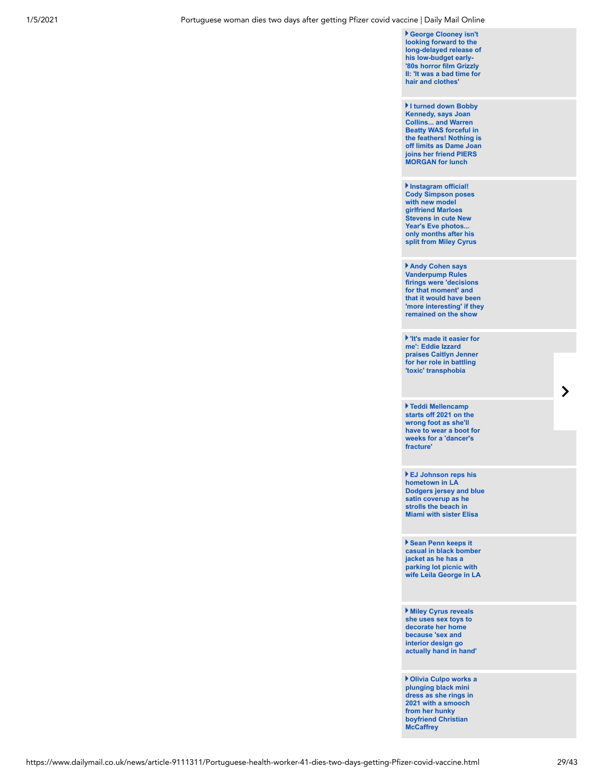**George Clooney isn't looking forward to the [long-delayed release of](https://www.dailymail.co.uk/tvshowbiz/article-9107785/George-Clooney-isnt-looking-forward-release-ultra-low-budget-horror-film-Grizzly-II.html) his low-budget early- '80s horror film Grizzly II: 'It was a bad time for hair and clothes'**

**I turned down Bobby Kennedy, says Joan Collins... and Warren Beatty WAS forceful in the feathers! Nothing is [off limits as Dame Joan](https://www.dailymail.co.uk/news/article-9106897/I-turned-Bobby-Kennedy-says-Joan-Collins-joins-friend-PIERS-MORGAN-lunch.html) joins her friend PIERS MORGAN for lunch**

**Instagram official! Cody Simpson poses with new model girlfriend Marloes Stevens in cute New** Year's Eve photos. **only months after his [split from Miley Cyrus](https://www.dailymail.co.uk/tvshowbiz/article-9107075/Cody-Simpson-poses-model-girlfriend-Marloes-Stevens-NYE.html)**

**Andy Cohen says Vanderpump Rules firings were 'decisions for that moment' and that it would have been ['more interesting' if they](https://www.dailymail.co.uk/tvshowbiz/article-9107383/Andy-Cohen-says-Vanderpump-Rules-firings-decisions-moment.html) remained on the show**

**'It's made it easier for me': Eddie Izzard [praises Caitlyn Jenner](https://www.dailymail.co.uk/tvshowbiz/article-9108547/Eddie-Izzard-praises-Caitlyn-Jenner-role-battling-transphobia.html) for her role in battling 'toxic' transphobia**

**Teddi Mellencamp starts off 2021 on the wrong foot as she'll [have to wear a boot for](https://www.dailymail.co.uk/tvshowbiz/article-9107863/Teddi-Mellencamp-starts-2021-wrong-foot-shell-wear-boot-weeks.html) weeks for a 'dancer's fracture'**

**EJ Johnson reps his hometown in LA [Dodgers jersey and blue](https://www.dailymail.co.uk/tvshowbiz/article-9107801/EJ-Johnson-reps-hometown-LA-Dodgers-jersey-strolls-beach-Miami-sister-Elisa.html) satin coverup as he strolls the beach in Miami with sister Elisa**

**Sean Penn keeps it [casual in black bomber](https://www.dailymail.co.uk/tvshowbiz/article-9107835/Sean-Penn-keeps-casual-black-bomber-parking-lot-picnic-wife-Leila-George-LA.html) jacket as he has a parking lot picnic with wife Leila George in LA**

**Miley Cyrus reveals she uses sex toys to decorate her home because 'sex and interior design go [actually hand in hand'](https://www.dailymail.co.uk/tvshowbiz/article-9107475/Miley-Cyrus-reveals-uses-sex-toys-decorate-home.html)**

**Olivia Culpo works a plunging black mini [dress as she rings in](https://www.dailymail.co.uk/tvshowbiz/article-9106789/Olivia-Culpo-smooches-hunky-boyfriend-Christian-McCaffrey-rings-2021.html) 2021 with a smooch from her hunky boyfriend Christian McCaffrey**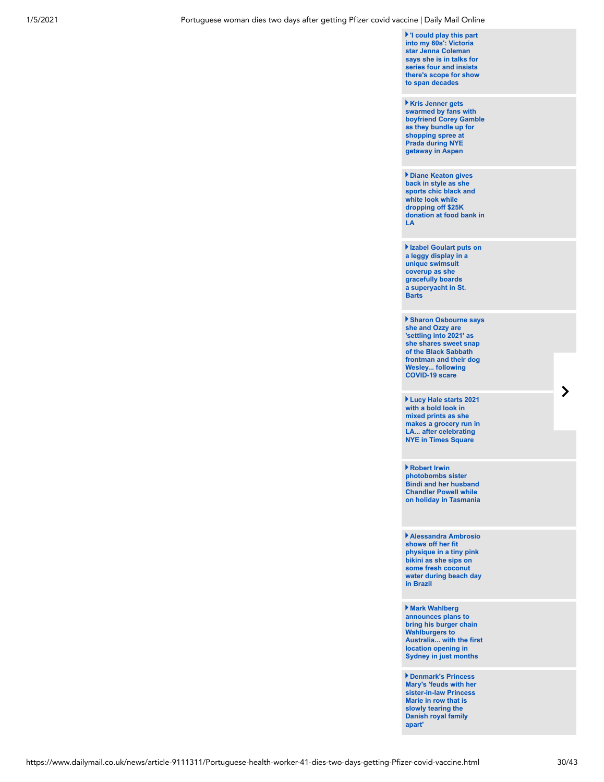**'I could play this part into my 60s': Victoria star Jenna Coleman says she is in talks for series four and insists [there's scope for show](https://www.dailymail.co.uk/tvshowbiz/article-9108369/Jenna-Coleman-looks-set-return-Queen-Victoria-series-four-ITV-hit-show.html) to span decades**

**Kris Jenner gets swarmed by fans with [boyfriend Corey Gamble](https://www.dailymail.co.uk/tvshowbiz/article-9107461/Kris-Jenner-gets-swarmed-fans-boyfriend-Corey-Gamble-bundle-Prada-Aspen.html) as they bundle up for shopping spree at Prada during NYE getaway in Aspen**

**Diane Keaton gives back in style as she sports chic black and white look while dropping off \$25K [donation at food bank in](https://www.dailymail.co.uk/tvshowbiz/article-9107587/Diane-Keaton-sports-chic-black-white-look-dropping-25K-donation-food-bank-LA.html) LA**

**[Izabel Goulart puts on](https://www.dailymail.co.uk/tvshowbiz/article-9107853/Izabel-Goulart-puts-leggy-display-gracefully-boards-superyacht-St-Barts.html) a leggy display in a unique swimsuit coverup as she gracefully boards a superyacht in St. Barts**

**[Sharon Osbourne says](https://www.dailymail.co.uk/tvshowbiz/article-9107585/Sharon-Osbourne-says-Ozzy-settling-2021-shares-sweet-snap-rocker.html) she and Ozzy are 'settling into 2021' as she shares sweet snap of the Black Sabbath frontman and their dog Wesley... following COVID-19 scare**

**Lucy Hale starts 2021 with a bold look in mixed prints as she [makes a grocery run in](https://www.dailymail.co.uk/tvshowbiz/article-9107749/Lucy-Hale-starts-2021-bold-look-makes-grocery-run-LA-NYE-Times-Square.html) LA... after celebrating NYE in Times Square**

**Robert Irwin photobombs sister Bindi and her husband Chandler Powell while [on holiday in Tasmania](https://www.dailymail.co.uk/tvshowbiz/article-9108241/Robert-Irwin-photobombs-sister-Bindi-husband-Chandler-Powell-holiday-Tasmania.html)**

**Alessandra Ambrosio shows off her fit physique in a tiny pink bikini as she sips on some fresh coconut [water during beach day](https://www.dailymail.co.uk/tvshowbiz/article-9107513/Alessandra-Ambrosio-shows-fit-physique-tiny-pink-bikini-beach-day-Brazil.html) in Brazil**

**Mark Wahlberg announces plans to bring his burger chain Wahlburgers to [Australia... with the first](https://www.dailymail.co.uk/tvshowbiz/article-9108385/Mark-Wahlberg-set-open-fast-food-chain-Wahlburgers-Australia.html) location opening in Sydney in just months**

**Denmark's Princess [Mary's 'feuds with her](https://www.dailymail.co.uk/news/article-9106029/Inside-bitter-feud-Princess-Mary-sister-law-Princess-Marie.html) sister-in-law Princess Marie in row that is slowly tearing the Danish royal family apart'**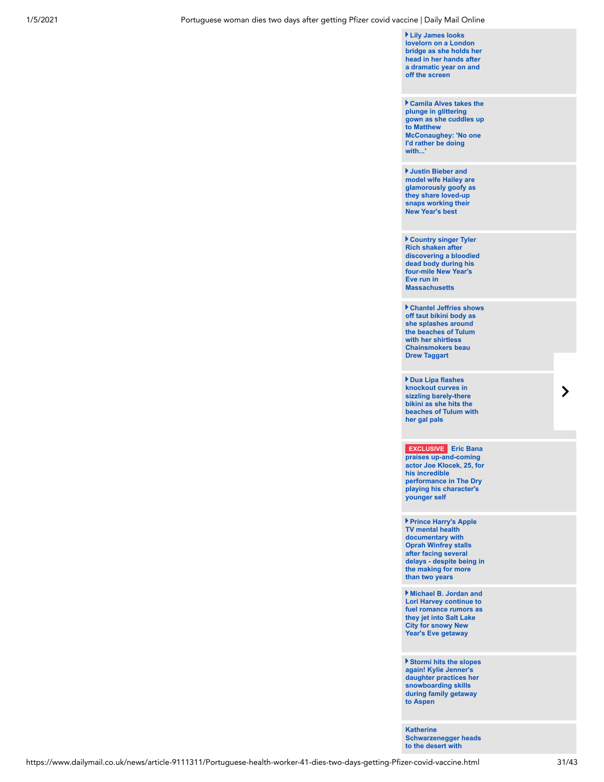**Lily James looks lovelorn on a London [bridge as she holds her](https://www.dailymail.co.uk/usshowbiz/article-9107399/Lily-James-looks-lovelorn-London-bridge-dramatic-year-screen.html) head in her hands after a dramatic year on and off the screen**

**Camila Alves takes the plunge in glittering [gown as she cuddles up](https://www.dailymail.co.uk/tvshowbiz/article-9106701/Camila-Alves-takes-plunge-glittering-gown-cuddles-Matthew-McConaughey.html) to Matthew McConaughey: 'No one I'd rather be doing with...'**

**Justin Bieber and model wife Hailey are [glamorously goofy as](https://www.dailymail.co.uk/tvshowbiz/article-9106935/Justin-Bieber-wife-Hailey-glamorously-goofy-post-loved-snaps-New-Years.html) they share loved-up snaps working their New Year's best**

**Country singer Tyler Rich shaken after [discovering a bloodied](https://www.dailymail.co.uk/tvshowbiz/article-9106719/Tyler-Rich-shaken-discovering-bloodied-dead-body-New-Year-Eve-run-Massachusetts.html) dead body during his four-mile New Year's Eve run in Massachusetts**

**[Chantel Jeffries shows](https://www.dailymail.co.uk/tvshowbiz/article-9107169/Chantel-Jeffries-shows-taut-midriff-bikini-Drew-Taggart-bares-toned-torso-Tulum.html) off taut bikini body as she splashes around the beaches of Tulum with her shirtless Chainsmokers beau Drew Taggart**

**Dua Lipa flashes knockout curves in sizzling barely-there bikini as she hits the [beaches of Tulum with](https://www.dailymail.co.uk/tvshowbiz/article-9106797/Dua-Lipa-flashes-knockout-curves-barely-bikini-beach-Tulum.html) her gal pals** 

**EXCLUSIVE Eric Bana praises up-and-coming [actor Joe Klocek, 25, for](https://www.dailymail.co.uk/tvshowbiz/article-9107627/Eric-Bana-praises-young-coming-actor-Joe-Klocek-25-performance-Dry.html) his incredible performance in The Dry playing his character's younger self**

**Prince Harry's Apple TV mental health documentary with Oprah Winfrey stalls after facing several [delays - despite being in](https://www.dailymail.co.uk/femail/article-9106051/Prince-Harrys-Apple-TV-mental-health-documentary-Oprah-Winfrey-stalls.html) the making for more than two years**

**Michael B. Jordan and Lori Harvey continue to [fuel romance rumors as](https://www.dailymail.co.uk/tvshowbiz/article-9106919/Michael-B-Jordan-Lori-Harvey-continue-fuel-romance-rumors.html) they jet into Salt Lake City for snowy New Year's Eve getaway** 

**Stormi hits the slopes again! Kylie Jenner's [daughter practices her](https://www.dailymail.co.uk/tvshowbiz/article-9106737/Stormi-hits-slopes-Kylie-Jenners-daughter-snowboards-family-getaway-Aspen.html) snowboarding skills during family getaway to Aspen** 

**Katherine [Schwarzenegger heads](https://www.dailymail.co.uk/tvshowbiz/article-9106525/Katherine-Schwarzenegger-heads-desert-husband-Chris-Pratt-four-month-old-Lyla-Maria.html) to the desert with**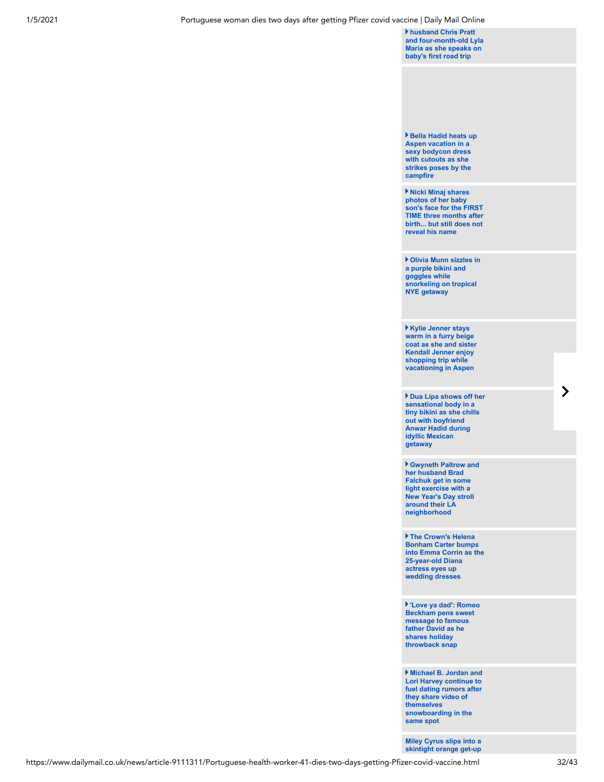**husband Chris Pratt [and four-month-old Lyla](https://www.dailymail.co.uk/tvshowbiz/article-9106525/Katherine-Schwarzenegger-heads-desert-husband-Chris-Pratt-four-month-old-Lyla-Maria.html) Maria as she speaks on baby's first road trip**

**[Bella Hadid heats up](https://www.dailymail.co.uk/tvshowbiz/article-9106645/Bella-Hadid-heats-Aspen-sexy-bodycon-dress-cutouts-strikes-poses-campfire.html) Aspen vacation in a sexy bodycon dress with cutouts as she strikes poses by the campfire**

**Nicki Minaj shares photos of her baby son's face for the FIRST [TIME three months after](https://www.dailymail.co.uk/tvshowbiz/article-9106475/Nicki-Minaj-shares-pics-baby-sons-face-TIME-three-months-birth.html) birth... but still does not reveal his name**

**Olivia Munn sizzles in a purple bikini and goggles while [snorkeling on tropical](https://www.dailymail.co.uk/tvshowbiz/article-9105841/Olivia-Munn-sizzles-purple-bikini-goggles-snorkeling-NYE-getaway.html) NYE getaway**

**Kylie Jenner stays warm in a furry beige [coat as she and sister](https://www.dailymail.co.uk/tvshowbiz/article-9105775/Kylie-Jenner-stays-warm-furry-coat-sister-Kendall-shopping-Aspen.html) Kendall Jenner enjoy shopping trip while vacationing in Aspen**

**[Dua Lipa shows off her](https://www.dailymail.co.uk/tvshowbiz/article-9105979/Dua-Lipa-shows-sensational-body-tiny-bikini.html) sensational body in a tiny bikini as she chills out with boyfriend Anwar Hadid during idyllic Mexican getaway** 

**[Gwyneth Paltrow and](https://www.dailymail.co.uk/tvshowbiz/article-9105837/Gwyneth-Paltrow-husband-Brad-Falchuk-New-Years-Day-stroll-neighborhood.html) her husband Brad Falchuk get in some light exercise with a New Year's Day stroll around their LA neighborhood**

**The Crown's Helena Bonham Carter bumps [into Emma Corrin as the](https://www.dailymail.co.uk/tvshowbiz/article-9106863/Well-one-never-Crowns-Helena-Bonham-Carter-bumps-Emma-Corrin.html) 25-year-old Diana actress eyes up wedding dresses** 

**['Love ya dad': Romeo](https://www.dailymail.co.uk/tvshowbiz/article-9106773/Love-ya-dad-Romeo-Beckham-pens-sweet-message-father-following-heartwarming-photo.html) Beckham pens sweet message to famous father David as he shares holiday throwback snap**

**Michael B. Jordan and Lori Harvey continue to [fuel dating rumors after](https://www.dailymail.co.uk/tvshowbiz/article-9105927/Michael-B-Jordan-Lori-Harvey-continue-fuel-dating-rumors-snowboarding-spot.html) they share video of themselves snowboarding in the same spot** 

**[Miley Cyrus slips into a](https://www.dailymail.co.uk/tvshowbiz/article-9105713/Miley-Cyrus-slips-skintight-orange-declares-NEW-YEAR-Instagram.html) skintight orange get-up**

 $\blacktriangleright$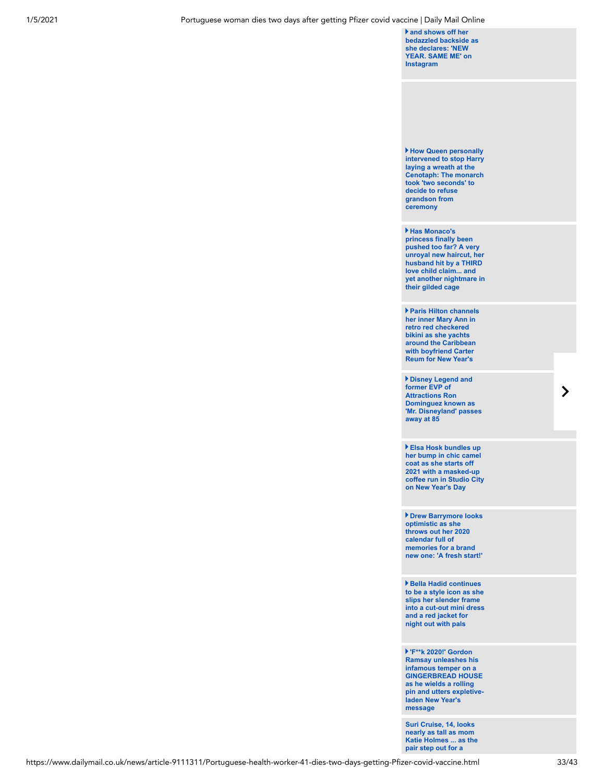**and shows off her [bedazzled backside as](https://www.dailymail.co.uk/tvshowbiz/article-9105713/Miley-Cyrus-slips-skintight-orange-declares-NEW-YEAR-Instagram.html) she declares: 'NEW YEAR. SAME ME' on Instagram**

**How Queen personally [intervened to stop Harry](https://www.dailymail.co.uk/news/article-9105239/REBECCA-ENGLISH-reveals-Queen-took-two-seconds-freeze-Harry-cenotaph-ceremony.html) laying a wreath at the Cenotaph: The monarch took 'two seconds' to decide to refuse grandson from ceremony**

**Has Monaco's princess finally been pushed too far? A very unroyal new haircut, her husband hit by a THIRD love child claim... and [yet another nightmare in](https://www.dailymail.co.uk/news/article-9105591/Has-Monacos-princess-finally-pushed-far-nightmare-gilded-cage.html) their gilded cage** 

**Paris Hilton channels her inner Mary Ann in retro red checkered bikini as she yachts [around the Caribbean](https://www.dailymail.co.uk/tvshowbiz/article-9105913/Paris-Hilton-channels-inner-Mary-Ann-red-checkered-bikini-yachts-Caribbean.html) with boyfriend Carter Reum for New Year's**

**Disney Legend and former EVP of Attractions Ron Dominguez known as ['Mr. Disneyland' passes](https://www.dailymail.co.uk/tvshowbiz/article-9107115/Disney-Legend-Ron-Dominguez-known-Mr-Disneyland-passed-away-85.html) away at 85**

**Elsa Hosk bundles up her bump in chic camel coat as she starts off 2021 with a masked-up [coffee run in Studio City](https://www.dailymail.co.uk/tvshowbiz/article-9106641/Elsa-Hosk-bundles-bump-camel-coat-starts-2021.html) on New Year's Day**

**Drew Barrymore looks optimistic as she throws out her 2020 calendar full of memories for a brand [new one: 'A fresh start!'](https://www.dailymail.co.uk/tvshowbiz/article-9106635/Drew-Barrymore-throws-2020-calendar-memories-brand-new-one.html)**

**Bella Hadid continues to be a style icon as she slips her slender frame [into a cut-out mini dress](https://www.dailymail.co.uk/tvshowbiz/article-9105941/Bella-Hadid-continues-style-icon-night-pals-NYC.html) and a red jacket for night out with pals**

**'F\*\*k 2020!' Gordon Ramsay unleashes his infamous temper on a GINGERBREAD HOUSE as he wields a rolling [pin and utters expletive](https://www.dailymail.co.uk/tvshowbiz/article-9106393/Gordon-Ramsay-smashes-gingerbread-house-rolling-pin-new-years-message.html)laden New Year's message**

**Suri Cruise, 14, looks nearly as tall as mom [Katie Holmes ... as the](https://www.dailymail.co.uk/tvshowbiz/article-9105445/Suri-Cruise-14-looks-nearly-tall-mom-Katie-Holmes-pair-step-shop-NYC.html) pair step out for a**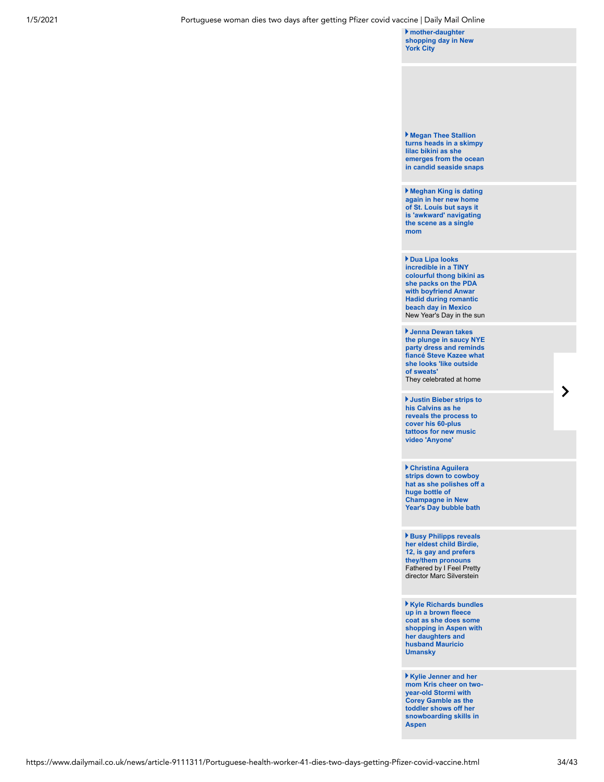**mother-daughter [shopping day in New](https://www.dailymail.co.uk/tvshowbiz/article-9105445/Suri-Cruise-14-looks-nearly-tall-mom-Katie-Holmes-pair-step-shop-NYC.html) York City**

**Megan Thee Stallion turns heads in a skimpy lilac bikini as she [emerges from the ocean](https://www.dailymail.co.uk/tvshowbiz/article-9105807/Megan-Thee-Stallion-turns-heads-skimpy-lilac-bikini-emerges-ocean.html) in candid seaside snaps**

**Meghan King is dating again in her new home of St. Louis but says it [is 'awkward' navigating](https://www.dailymail.co.uk/tvshowbiz/article-9105889/Meghan-King-dating-St-Louis-following-split-beau-Christian-Schauf.html) the scene as a single mom**

**Dua Lipa looks incredible in a TINY colourful thong bikini as she packs on the PDA with boyfriend Anwar Hadid during romantic beach day in Mexico** [New Year's Day in the sun](https://www.dailymail.co.uk/tvshowbiz/article-9104983/Dua-Lipa-slips-frame-colourful-bikini-matching-thong.html)

**Jenna Dewan takes [the plunge in saucy NYE](https://www.dailymail.co.uk/tvshowbiz/article-9105203/Jenna-Dewan-takes-plunge-saucy-party-dress-getting-flirty-fianc-Steve-Kazee.html) party dress and reminds fiancé Steve Kazee what she looks 'like outside of sweats'** They celebrated at home

**Justin Bieber strips to his Calvins as he [reveals the process to](https://www.dailymail.co.uk/tvshowbiz/article-9104871/Justin-Bieber-shows-tattoo-removal-process-pair-white-briefs-music-video.html) cover his 60-plus tattoos for new music video 'Anyone'**

**Christina Aguilera strips down to cowboy [hat as she polishes off a](https://www.dailymail.co.uk/tvshowbiz/article-9105881/Christina-Aguilera-strips-cowboy-hat-drinks-huge-bottle-Champagne-bubble-bath.html) huge bottle of Champagne in New Year's Day bubble bath**

**Busy Philipps reveals her eldest child Birdie, 12, is gay and prefers they/them pronouns** [Fathered by I Feel Pretty](https://www.dailymail.co.uk/tvshowbiz/article-9104557/Busy-Philipps-announces-eldest-child-Birdie-12-gay-uses-pronouns.html) director Marc Silverstein

**Kyle Richards bundles up in a brown fleece coat as she does some [shopping in Aspen with](https://www.dailymail.co.uk/tvshowbiz/article-9105629/Kyle-Richards-bundles-brown-fleece-coat-shops-Aspen-daughters-husband.html) her daughters and husband Mauricio Umansky**

**Kylie Jenner and her [mom Kris cheer on two](https://www.dailymail.co.uk/tvshowbiz/article-9105499/Kylie-Jenner-looks-proud-two-year-old-little-girl-Stormi-takes-snowboarding-lesson-Aspen.html)year-old Stormi with Corey Gamble as the toddler shows off her snowboarding skills in Aspen**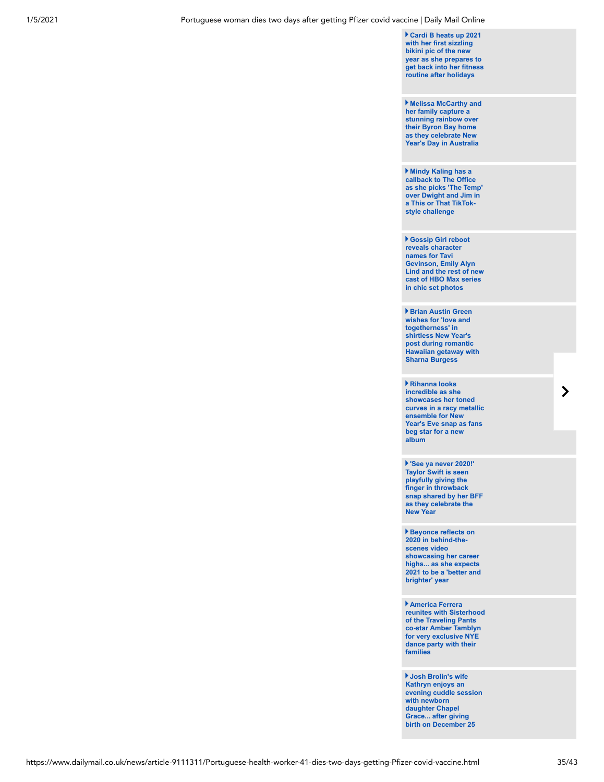**Cardi B heats up 2021 with her first sizzling bikini pic of the new year as she prepares to [get back into her fitness](https://www.dailymail.co.uk/tvshowbiz/article-9105457/Cardi-B-heats-2021-sizzling-bikini-pic-new-year-gets-fitness-routine.html) routine after holidays**

**Melissa McCarthy and her family capture a stunning rainbow over their Byron Bay home as they celebrate New [Year's Day in Australia](https://www.dailymail.co.uk/tvshowbiz/article-9105907/Melissa-McCarthy-family-celebrate-New-Years-Day-Australia.html)**

**Mindy Kaling has a callback to The Office [as she picks 'The Temp'](https://www.dailymail.co.uk/tvshowbiz/article-9105725/Mindy-Kaling-picks-Temp-Dwight-Jim-TikTok-style-challenge.html) over Dwight and Jim in a This or That TikTokstyle challenge**

**Gossip Girl reboot reveals character names for Tavi Gevinson, Emily Alyn [Lind and the rest of new](https://www.dailymail.co.uk/tvshowbiz/article-9105767/Gossip-Girl-reboot-reveals-character-names-new-cast-HBO-Max-continuation-chic-set-photos.html) cast of HBO Max series in chic set photos**

**Brian Austin Green wishes for 'love and togetherness' in shirtless New Year's post during romantic [Hawaiian getaway with](https://www.dailymail.co.uk/tvshowbiz/article-9105561/Brian-Austin-Green-wishes-love-togetherness-shirtless-New-Years-post-romantic-getaway.html) Sharna Burgess**

**Rihanna looks incredible as she showcases her toned [curves in a racy metallic](https://www.dailymail.co.uk/tvshowbiz/article-9105259/Rihanna-tells-fans-begging-new-album-sooo-2019-shares-sexy-NYEs-selfie.html) ensemble for New Year's Eve snap as fans beg star for a new album** 

**'See ya never 2020!' Taylor Swift is seen playfully giving the finger in throwback [snap shared by her BFF](https://www.dailymail.co.uk/tvshowbiz/article-9105567/Taylor-Swifts-BFF-Claire-Winter-Kislinger-shares-photo-singer-giving-2020-finger.html) as they celebrate the New Year**

**Beyonce reflects on 2020 in behind-thescenes video showcasing her career highs... as she expects [2021 to be a 'better and](https://www.dailymail.co.uk/tvshowbiz/article-9105553/Beyonce-reflects-2020-scenes-video-showcasing-career-highs.html) brighter' year**

**America Ferrera [reunites with Sisterhood](https://www.dailymail.co.uk/tvshowbiz/article-9105659/America-Ferrera-reunites-Traveling-Pants-star-Amber-Tamblyn-NYE-dance-party-family.html) of the Traveling Pants co-star Amber Tamblyn for very exclusive NYE dance party with their families**

**Josh Brolin's wife Kathryn enjoys an [evening cuddle session](https://www.dailymail.co.uk/tvshowbiz/article-9105649/Josh-Brolins-wife-Kathryn-enjoys-evening-cuddle-session-newborn-daughter-Chapel-Grace.html) with newborn daughter Chapel Grace... after giving birth on December 25**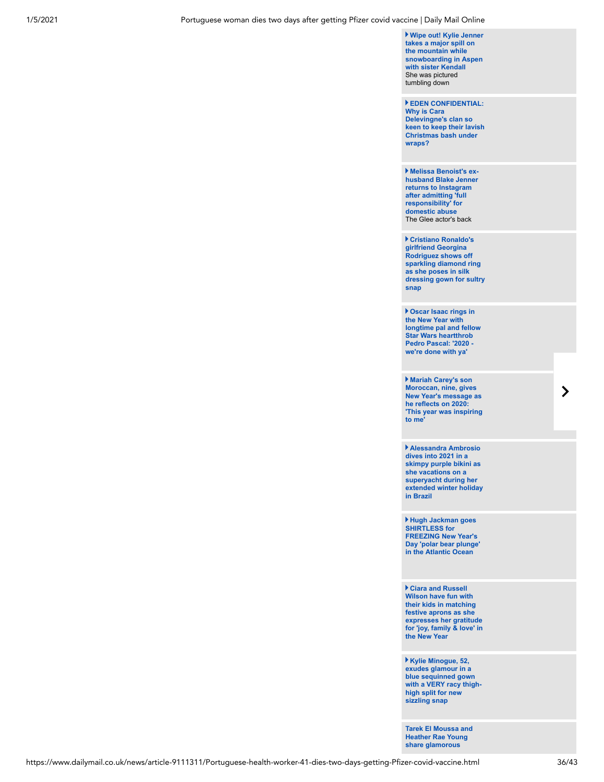**Wipe out! Kylie Jenner takes a major spill on the mountain while [snowboarding in Aspen](https://www.dailymail.co.uk/tvshowbiz/article-9104961/Kylie-Jenner-takes-spill-mountain-snowboarding-Aspen-sister-Kendall.html) with sister Kendall** She was pictured tumbling down

**EDEN CONFIDENTIAL: Why is Cara Delevingne's clan so [keen to keep their lavish](https://www.dailymail.co.uk/tvshowbiz/article-9105461/Why-Cara-Delevingnes-clan-keen-lavish-Christmas-bash-wraps.html) Christmas bash under wraps?**

**Melissa Benoist's ex[husband Blake Jenner](https://www.dailymail.co.uk/tvshowbiz/article-9105047/Melissa-Benoists-ex-husband-Blake-Jenner-returns-Instagram-admitting-domestic-abuse.html) returns to Instagram after admitting 'full responsibility' for domestic abuse** The Glee actor's back

**Cristiano Ronaldo's girlfriend Georgina Rodriguez shows off sparkling diamond ring as she poses in silk [dressing gown for sultry](https://www.dailymail.co.uk/tvshowbiz/article-9105207/Cristiano-Ronaldos-girlfriend-Georgina-Rodriguez-shows-sparkling-diamond-ring.html) snap** 

**Oscar Isaac rings in the New Year with [longtime pal and fellow](https://www.dailymail.co.uk/tvshowbiz/article-9104881/Oscar-Isaac-rings-New-Year-longtime-pal-fellow-Star-Wars-heartthrob-Pedro-Pascal.html) Star Wars heartthrob Pedro Pascal: '2020 we're done with ya'**

**Mariah Carey's son Moroccan, nine, gives New Year's message as he reflects on 2020: ['This year was inspiring](https://www.dailymail.co.uk/tvshowbiz/article-9105231/Mariah-Carey-warms-fans-hearts-New-Years-message-son-Rocky-Cannon-nine.html) to me'**

**Alessandra Ambrosio dives into 2021 in a skimpy purple bikini as she vacations on a superyacht during her [extended winter holiday](https://www.dailymail.co.uk/tvshowbiz/article-9105279/Alessandra-Ambrosio-dives-2021-purple-bikini-vacations-superyacht-Brazil.html) in Brazil**

**Hugh Jackman goes SHIRTLESS for FREEZING New Year's [Day 'polar bear plunge'](https://www.dailymail.co.uk/tvshowbiz/article-9105349/Hugh-Jackman-goes-SHIRTLESS-FREEZING-New-Years-Day-polar-bear-plunge-Atlantic-Ocean.html) in the Atlantic Ocean**

**Ciara and Russell Wilson have fun with their kids in matching festive aprons as she expresses her gratitude [for 'joy, family & love' in](https://www.dailymail.co.uk/tvshowbiz/article-9104965/Ciara-Russell-Wilson-fun-kids-matching-festive-aprons-Christmas-throwback.html) the New Year**

**Kylie Minogue, 52, exudes glamour in a blue sequinned gown [with a VERY racy thigh](https://www.dailymail.co.uk/tvshowbiz/article-9105539/Kylie-Minogue-exudes-glamour-blue-sequinned-gown-racy-thigh-high-split.html)high split for new sizzling snap** 

**[Tarek El Moussa and](https://www.dailymail.co.uk/tvshowbiz/article-9104811/Tarek-El-Moussa-Heather-Rae-Young-share-glamorous-throwback-snaps-ring-New-Years.html) Heather Rae Young share glamorous**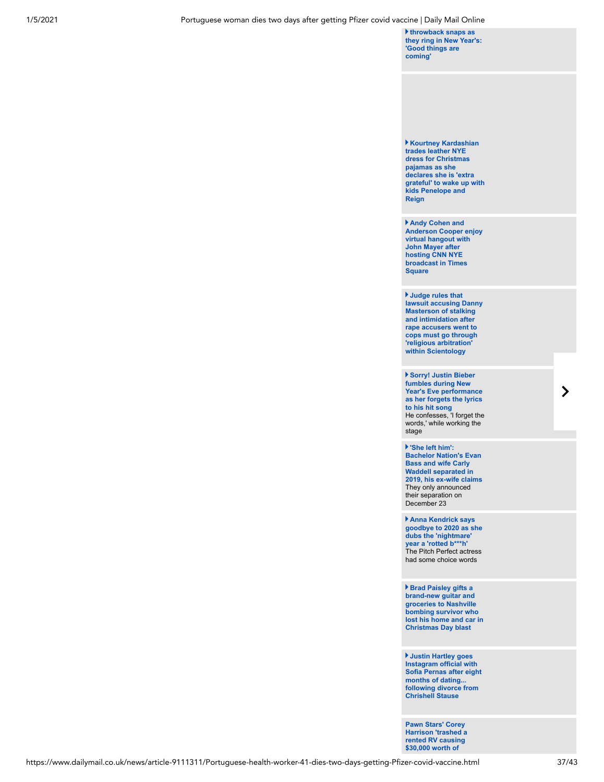**throwback snaps as [they ring in New Year's:](https://www.dailymail.co.uk/tvshowbiz/article-9104811/Tarek-El-Moussa-Heather-Rae-Young-share-glamorous-throwback-snaps-ring-New-Years.html) 'Good things are coming'**

**Kourtney Kardashian trades leather NYE dress for Christmas pajamas as she declares she is 'extra [grateful' to wake up with](https://www.dailymail.co.uk/tvshowbiz/article-9105307/Kourtney-Kardashian-declares-extra-grateful-wake-2021-kids-Penelope-Reign.html) kids Penelope and Reign**

**Andy Cohen and [Anderson Cooper enjoy](https://www.dailymail.co.uk/tvshowbiz/article-9104957/Andy-Cohen-Anderson-Cooper-enjoy-virtual-hangout-John-Mayer-hosting-CNN-New-Years.html) virtual hangout with John Mayer after hosting CNN NYE broadcast in Times Square**

**Judge rules that [lawsuit accusing Danny](https://www.dailymail.co.uk/news/article-9104539/Judge-rules-Danny-Masterson-stalking-intimidation-cases-Scientology-mediation.html) Masterson of stalking and intimidation after rape accusers went to cops must go through 'religious arbitration' within Scientology**

**Sorry! Justin Bieber fumbles during New Year's Eve performance as her forgets the lyrics to his hit song** [He confesses, 'I forget the](https://www.dailymail.co.uk/tvshowbiz/article-9105125/Justin-Bieber-fumbles-forgets-lyrics-Sorry-New-Years-Eve-performance.html) words,' while working the stage

**'She left him': Bachelor Nation's Evan Bass and wife Carly Waddell separated in [2019, his ex-wife claims](https://www.dailymail.co.uk/tvshowbiz/article-9104747/Bachelor-vet-Evan-Basss-ex-wife-Marie-says-Carly-Waddell-living-apart-2019.html)** They only announced their separation on December 23

**Anna Kendrick says [goodbye to 2020 as she](https://www.dailymail.co.uk/tvshowbiz/article-9105061/Anna-Kendrick-says-goodbye-2020-dubs-nightmare-year-rotted-b-h.html) dubs the 'nightmare' year a 'rotted b\*\*\*h'** The Pitch Perfect actress had some choice words

**Brad Paisley gifts a brand-new guitar and groceries to Nashville bombing survivor who [lost his home and car in](https://www.dailymail.co.uk/tvshowbiz/article-9105083/Brad-Paisley-gifts-new-guitar-Nashville-explosion-survivor-lost-home.html) Christmas Day blast**

**Justin Hartley goes Instagram official with [Sofia Pernas after eight](https://www.dailymail.co.uk/tvshowbiz/article-9104587/Justin-Hartley-goes-Instagram-official-girlfriend-Sofia-Pernas-eight-months-dating.html) months of dating... following divorce from Chrishell Stause**

**Pawn Stars' Corey [Harrison 'trashed a](https://www.dailymail.co.uk/news/article-9104751/Pawn-Stars-Corey-Harrison-trashed-rented-RV-causing-30-000-worth-damage.html) rented RV causing \$30,000 worth of**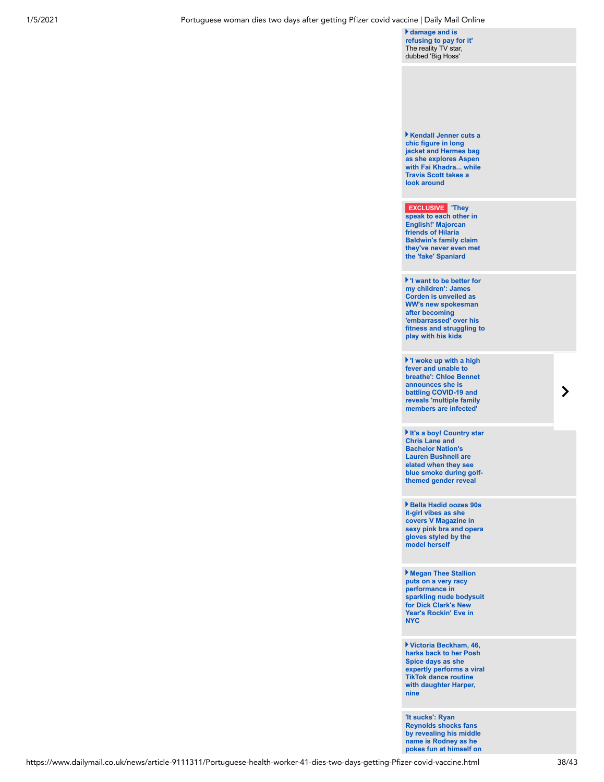**damage and is [refusing to pay for it'](https://www.dailymail.co.uk/news/article-9104751/Pawn-Stars-Corey-Harrison-trashed-rented-RV-causing-30-000-worth-damage.html)**  The reality TV star, dubbed 'Big Hoss'

**Kendall Jenner cuts a chic figure in long jacket and Hermes bag as she explores Aspen [with Fai Khadra... while](https://www.dailymail.co.uk/tvshowbiz/article-9104833/Kendall-Jenner-explores-Aspen-Fai-Khadra-Travis-Scott-checks-town.html) Travis Scott takes a look around** 

| <b>EXCLUSIVE</b> They<br>speak to each other in<br><b>English!' Majorcan</b><br>friends of Hilaria<br><b>Baldwin's family claim</b><br>they've never even met<br>the 'fake' Spaniard                   |
|--------------------------------------------------------------------------------------------------------------------------------------------------------------------------------------------------------|
| If I want to be better for<br>my children': James<br>Corden is unveiled as<br><b>WW's new spokesman</b><br>after becoming<br>'embarrassed' over his<br>fitness and struggling to<br>play with his kids |
| I woke up with a high<br>fever and unable to<br><b>breathe': Chloe Bennet</b><br>announces she is<br>battling COVID-19 and<br>reveals 'multiple family<br>members are infected                         |
| It's a boy! Country star<br><b>Chris Lane and</b><br><b>Bachelor Nation's</b><br><b>Lauren Bushnell are</b><br>elated when they see<br>blue smoke during golf-<br>themed gender reveal                 |
| Bella Hadid oozes 90s<br>it-girl vibes as she<br>covers V Magazine in<br>sexy pink bra and opera<br>gloves styled by the<br>model herself                                                              |

**Megan Thee Stallion puts on a very racy performance in [sparkling nude bodysuit](https://www.dailymail.co.uk/tvshowbiz/article-9104129/Megan-Thee-Stallion-puts-racy-performance-Dick-Clarks-New-Years-Rockin-Eve-NYC.html) for Dick Clark's New Year's Rockin' Eve in NYC**

**Victoria Beckham, 46, harks back to her Posh Spice days as she [expertly performs a viral](https://www.dailymail.co.uk/tvshowbiz/article-9104783/Victoria-Beckham-expertly-performs-viral-TikTok-dance-routine-daughter-Harper-nine.html) TikTok dance routine with daughter Harper, nine** 

**'It sucks': Ryan Reynolds shocks fans by revealing his middle name is Rodney as he [pokes fun at himself on](https://www.dailymail.co.uk/tvshowbiz/article-9104869/Ryan-Reynolds-leaves-Twitter-users-disbelief-revealing-middle-Rodney.html)**

 $\sum$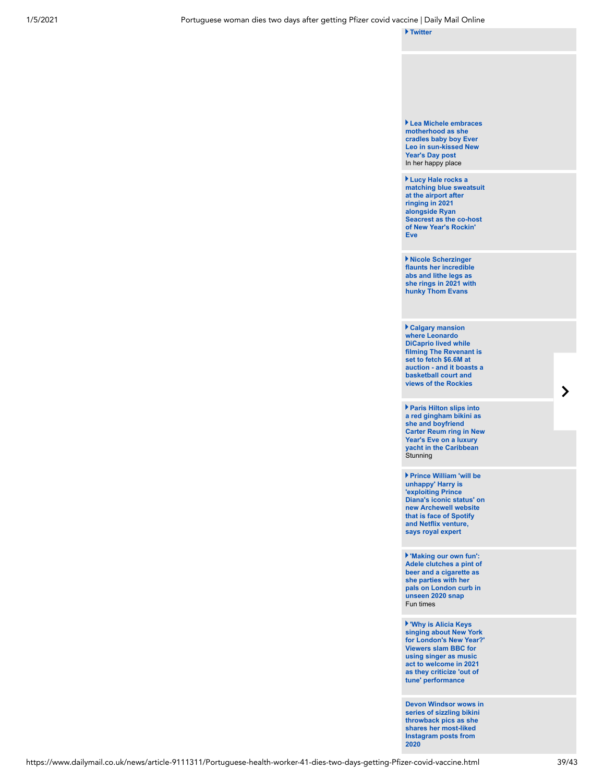**[Twitter](https://www.dailymail.co.uk/tvshowbiz/article-9104869/Ryan-Reynolds-leaves-Twitter-users-disbelief-revealing-middle-Rodney.html)**

**Lea Michele embraces motherhood as she cradles baby boy Ever [Leo in sun-kissed New](https://www.dailymail.co.uk/tvshowbiz/article-9104793/Lea-Michele-embraces-motherhood-cradles-baby-boy-Leo-sun-kissed-New-Years-Day-post.html) Year's Day post** In her happy place

**Lucy Hale rocks a [matching blue sweatsuit](https://www.dailymail.co.uk/tvshowbiz/article-9104767/Lucy-Hale-rocks-matching-blue-sweatsuit-JFK-ringing-2021-alongside-Ryan-Seacrest.html) at the airport after ringing in 2021 alongside Ryan Seacrest as the co-host of New Year's Rockin' Eve**

**Nicole Scherzinger flaunts her incredible abs and lithe legs as [she rings in 2021 with](https://www.dailymail.co.uk/tvshowbiz/article-9104721/Nicole-Scherzinger-flaunts-incredible-abs-lithe-legs.html) hunky Thom Evans** 

**Calgary mansion where Leonardo DiCaprio lived while filming The Revenant is set to fetch \$6.6M at [auction - and it boasts a](https://www.dailymail.co.uk/news/article-9102353/Calgary-mansion-home-Leonardo-DiCaprio-set-fetch-6-6-million.html) basketball court and views of the Rockies**

**Paris Hilton slips into a red gingham bikini as she and boyfriend [Carter Reum ring in New](https://www.dailymail.co.uk/tvshowbiz/article-9104127/Paris-Hilton-slips-red-bikini-Carter-Reum-ring-New-Years-Eve-luxury-yacht.html) Year's Eve on a luxury yacht in the Caribbean Stunning** 

**Prince William 'will be unhappy' Harry is 'exploiting Prince [Diana's iconic status' on](https://www.dailymail.co.uk/news/article-9104417/Prince-Harry-uses-photo-Princess-Diana-new-Archewell-website.html) new Archewell website that is face of Spotify and Netflix venture, says royal expert**

**'Making our own fun': [Adele clutches a pint of](https://www.dailymail.co.uk/tvshowbiz/article-9104189/Adele-parties-pals-London-curb-unseen-2020-snap.html) beer and a cigarette as she parties with her pals on London curb in unseen 2020 snap** Fun times

**'Why is Alicia Keys singing about New York [for London's New Year?'](https://www.dailymail.co.uk/news/article-9104231/Viewers-slam-BBC-using-Alicia-Keys-welcome-2021-criticise-tune-performance.html) Viewers slam BBC for using singer as music act to welcome in 2021 as they criticize 'out of tune' performance** 

**[Devon Windsor wows in](https://www.dailymail.co.uk/tvshowbiz/article-9104561/Devon-Windsor-wows-series-sizzling-bikini-throwback-pics.html) series of sizzling bikini throwback pics as she shares her most-liked Instagram posts from 2020**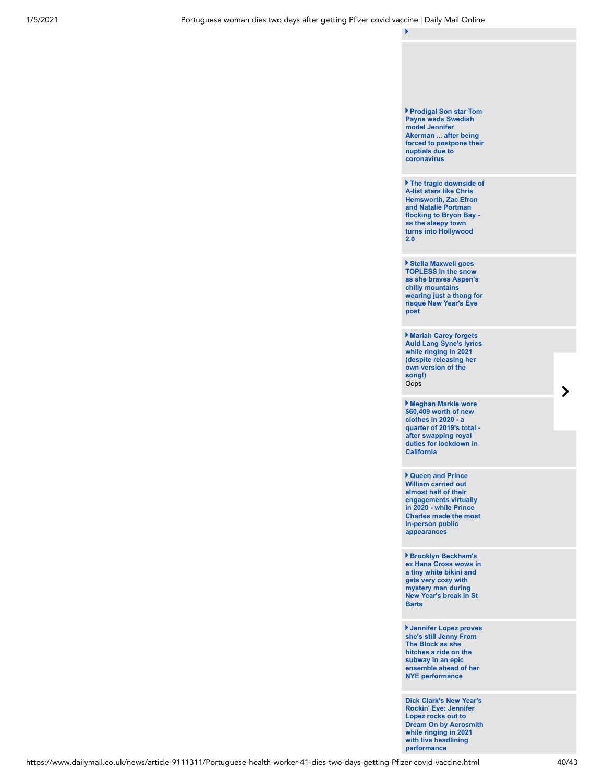**The tragic downside of A-list stars like Chris Hemsworth, Zac Efron and Natalie Portman [flocking to Bryon Bay](https://www.dailymail.co.uk/tvshowbiz/article-9104133/Celebrities-like-Chris-Hemsworth-Zac-Efron-flock-Bryon-Bay-house-prices-locals.html)  as the sleepy town turns into Hollywood 2.0** 

**Stella Maxwell goes TOPLESS in the snow as she braves Aspen's chilly mountains [wearing just a thong for](https://www.dailymail.co.uk/tvshowbiz/article-9104147/Stella-Maxwell-goes-TOPLESS-snow-pose-risqu-New-Years-Eve-post.html) risqué New Year's Eve post**

**Mariah Carey forgets [Auld Lang Syne's lyrics](https://www.dailymail.co.uk/tvshowbiz/article-9104229/Mariah-Carey-forgets-Auld-Lang-Synes-lyrics-tunefully-ringing-2021.html) while ringing in 2021 (despite releasing her own version of the song!)** Oops

**Meghan Markle wore \$60,409 worth of new clothes in 2020 - a [quarter of 2019's total](https://www.dailymail.co.uk/femail/article-9027075/Meghan-Markle-slashed-value-wardrobe-wearing-just-44-188-new-items.html)  after swapping royal duties for lockdown in California**

**Queen and Prince William carried out almost half of their engagements virtually in 2020 - while Prince [Charles made the most](https://www.dailymail.co.uk/femail/article-9104775/Queen-Prince-William-carried-half-engagements-virtually-2020.html) in-person public appearances** 

**Brooklyn Beckham's [ex Hana Cross wows in](https://www.dailymail.co.uk/tvshowbiz/article-9104347/Brooklyn-Beckhams-ex-Hana-Cross-gets-cosy-mystery-man-New-Years-break-St-Barts.html) a tiny white bikini and gets very cozy with mystery man during New Year's break in St Barts**

**Jennifer Lopez proves she's still Jenny From The Block as she hitches a ride on the subway in an epic [ensemble ahead of her](https://www.dailymail.co.uk/tvshowbiz/article-9104219/Jennifer-Lopez-proves-shes-Jenny-Block-hitches-ride-subway.html) NYE performance**

**Dick Clark's New Year's Rockin' Eve: Jennifer Lopez rocks out to [Dream On by Aerosmith](https://www.dailymail.co.uk/tvshowbiz/article-9103593/Dick-Clarks-New-Years-Rockin-Eve-Jennifer-Lopez-arrives-fur-coat-ring-2021-NYC.html) while ringing in 2021 with live headlining performance**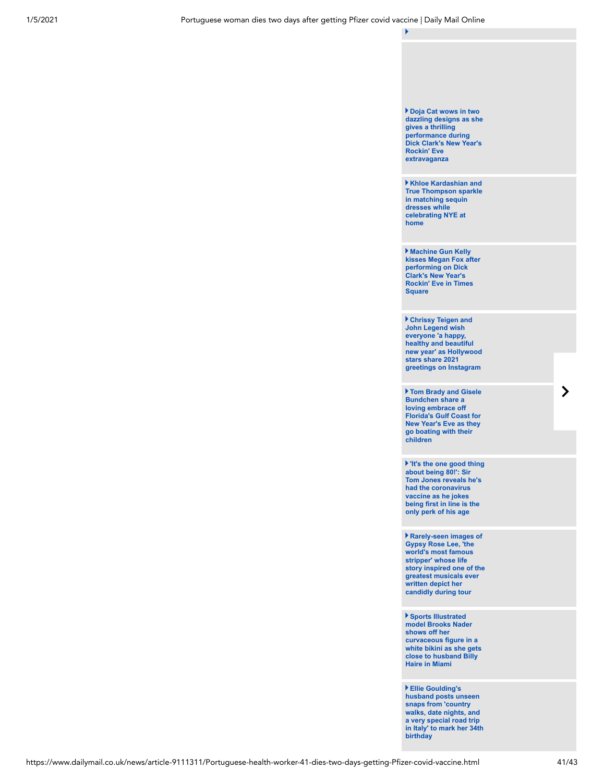

**Ellie Goulding's**

**husband posts unseen snaps from 'country walks, date nights, and a very special road trip [in Italy' to mark her 34th](https://www.dailymail.co.uk/tvshowbiz/article-9104185/Ellie-Gouldings-husband-Caspar-Jopling-marks-34th-birthday-candid-snaps-sweet-note.html) birthday**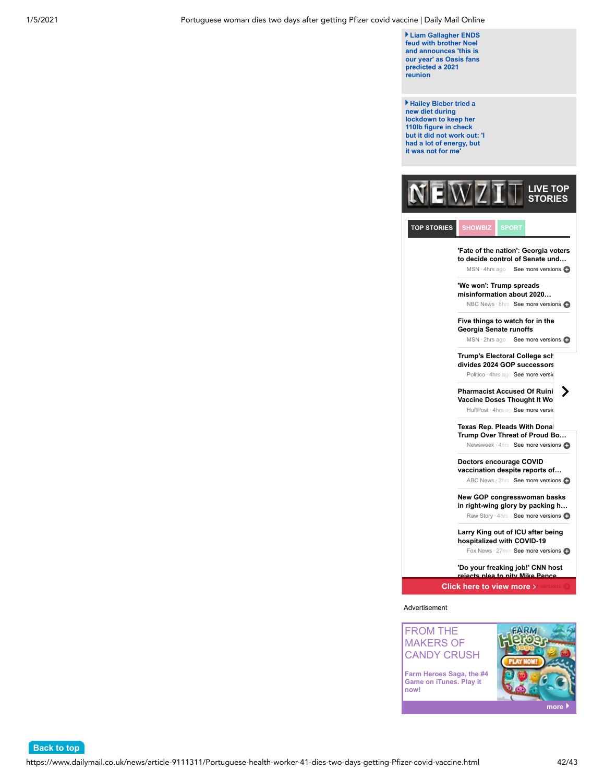**[Back to top](#page-0-0)**

**Liam Gallagher ENDS feud with brother Noel and announces 'this is [our year' as Oasis fans](https://www.dailymail.co.uk/tvshowbiz/article-9104781/Liam-Gallagher-ENDS-feud-brother-Noel-says-year-Oasis-reunion-predicted.html) predicted a 2021 reunion**

**Hailey Bieber tried a new diet during lockdown to keep her 110lb figure in check [but it did not work out: 'I](https://www.dailymail.co.uk/tvshowbiz/article-9102749/Hailey-Bieber-tried-new-diet-lockdown-110lb-figure-check.html) had a lot of energy, but it was not for me'**



**TOP STORIES**

**SHOWBIZ** SPORT

**'Fate of the nation': Georgia voters to decide control of Senate und…** MSN · 4hrs ago See more versions

**'We won': Trump spreads misinformation about 2020…**

NBC News · 8hrs aSee more versions

**Five things to watch for in the Georgia Senate runoffs**

MSN · 2hrs ago See more versions

**Trump's Electoral College sch divides 2024 GOP successors** Politico · 4hrs ago See more version

**Pharmacist Accused Of Ruini Vaccine Doses Thought It Wo** 

HuffPost · 4hrs agoSee more version

**Texas Rep. Pleads With Donal Trump Over Threat of Proud Bo…**

Newsweek · 4hrs a See more versions

**Doctors encourage COVID vaccination despite reports of…** ABC News · 3hrs a See more versions

**New GOP congresswoman basks in right-wing glory by packing h…**

Raw Story · 4hrs a See more versions

**Larry King out of ICU after being hospitalized with COVID-19**

Fox News · 27minsSee more versions

**'Do your freaking job!' CNN host rejects plea to pity Mike Pence…**

**Click here to view more >** 

Advertisement